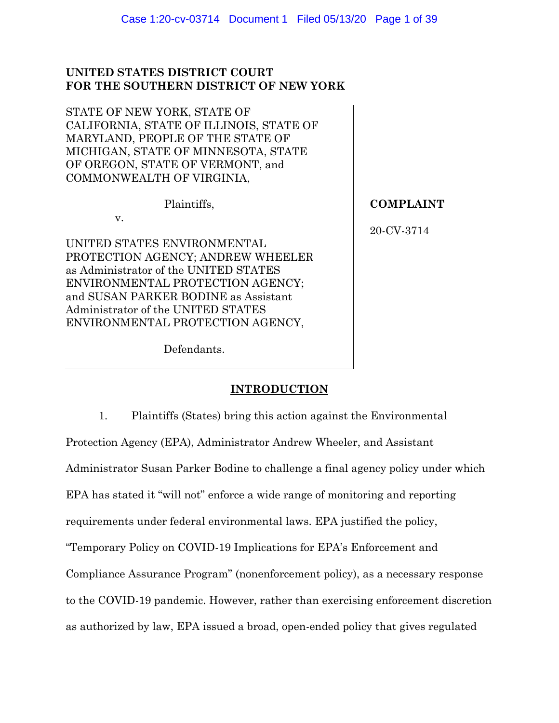## **UNITED STATES DISTRICT COURT FOR THE SOUTHERN DISTRICT OF NEW YORK**

STATE OF NEW YORK, STATE OF CALIFORNIA, STATE OF ILLINOIS, STATE OF MARYLAND, PEOPLE OF THE STATE OF MICHIGAN, STATE OF MINNESOTA, STATE OF OREGON, STATE OF VERMONT, and COMMONWEALTH OF VIRGINIA,

Plaintiffs,

v.

UNITED STATES ENVIRONMENTAL PROTECTION AGENCY; ANDREW WHEELER as Administrator of the UNITED STATES ENVIRONMENTAL PROTECTION AGENCY; and SUSAN PARKER BODINE as Assistant Administrator of the UNITED STATES ENVIRONMENTAL PROTECTION AGENCY,

Defendants.

**COMPLAINT**

20-CV-3714

# **INTRODUCTION**

1. Plaintiffs (States) bring this action against the Environmental Protection Agency (EPA), Administrator Andrew Wheeler, and Assistant Administrator Susan Parker Bodine to challenge a final agency policy under which EPA has stated it "will not" enforce a wide range of monitoring and reporting requirements under federal environmental laws. EPA justified the policy, "Temporary Policy on COVID-19 Implications for EPA's Enforcement and Compliance Assurance Program" (nonenforcement policy), as a necessary response to the COVID-19 pandemic. However, rather than exercising enforcement discretion as authorized by law, EPA issued a broad, open-ended policy that gives regulated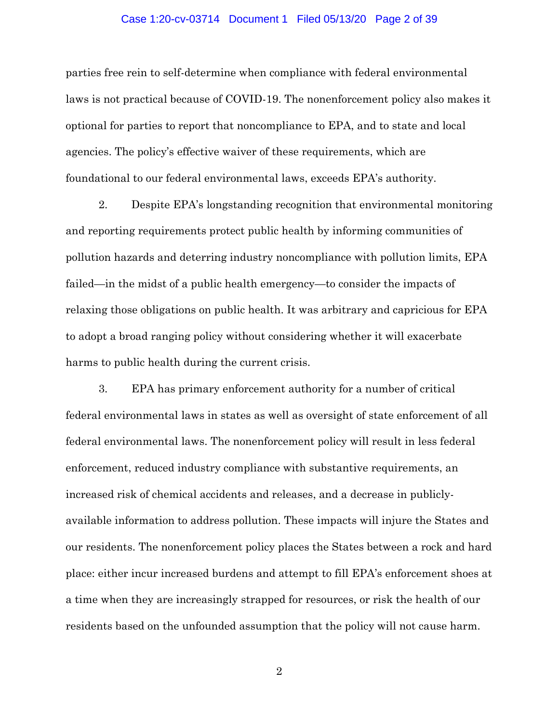#### Case 1:20-cv-03714 Document 1 Filed 05/13/20 Page 2 of 39

parties free rein to self-determine when compliance with federal environmental laws is not practical because of COVID-19. The nonenforcement policy also makes it optional for parties to report that noncompliance to EPA, and to state and local agencies. The policy's effective waiver of these requirements, which are foundational to our federal environmental laws, exceeds EPA's authority.

2. Despite EPA's longstanding recognition that environmental monitoring and reporting requirements protect public health by informing communities of pollution hazards and deterring industry noncompliance with pollution limits, EPA failed—in the midst of a public health emergency—to consider the impacts of relaxing those obligations on public health. It was arbitrary and capricious for EPA to adopt a broad ranging policy without considering whether it will exacerbate harms to public health during the current crisis.

3. EPA has primary enforcement authority for a number of critical federal environmental laws in states as well as oversight of state enforcement of all federal environmental laws. The nonenforcement policy will result in less federal enforcement, reduced industry compliance with substantive requirements, an increased risk of chemical accidents and releases, and a decrease in publiclyavailable information to address pollution. These impacts will injure the States and our residents. The nonenforcement policy places the States between a rock and hard place: either incur increased burdens and attempt to fill EPA's enforcement shoes at a time when they are increasingly strapped for resources, or risk the health of our residents based on the unfounded assumption that the policy will not cause harm.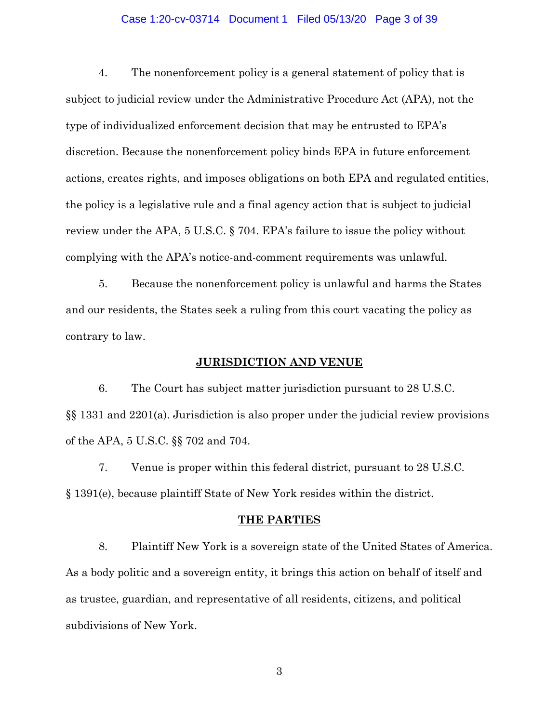## Case 1:20-cv-03714 Document 1 Filed 05/13/20 Page 3 of 39

4. The nonenforcement policy is a general statement of policy that is subject to judicial review under the Administrative Procedure Act (APA), not the type of individualized enforcement decision that may be entrusted to EPA's discretion. Because the nonenforcement policy binds EPA in future enforcement actions, creates rights, and imposes obligations on both EPA and regulated entities, the policy is a legislative rule and a final agency action that is subject to judicial review under the APA, 5 U.S.C. § 704. EPA's failure to issue the policy without complying with the APA's notice-and-comment requirements was unlawful.

5. Because the nonenforcement policy is unlawful and harms the States and our residents, the States seek a ruling from this court vacating the policy as contrary to law.

## **JURISDICTION AND VENUE**

6. The Court has subject matter jurisdiction pursuant to 28 U.S.C. §§ 1331 and 2201(a). Jurisdiction is also proper under the judicial review provisions of the APA, 5 U.S.C. §§ 702 and 704.

7. Venue is proper within this federal district, pursuant to 28 U.S.C. § 1391(e), because plaintiff State of New York resides within the district.

## **THE PARTIES**

8. Plaintiff New York is a sovereign state of the United States of America. As a body politic and a sovereign entity, it brings this action on behalf of itself and as trustee, guardian, and representative of all residents, citizens, and political subdivisions of New York.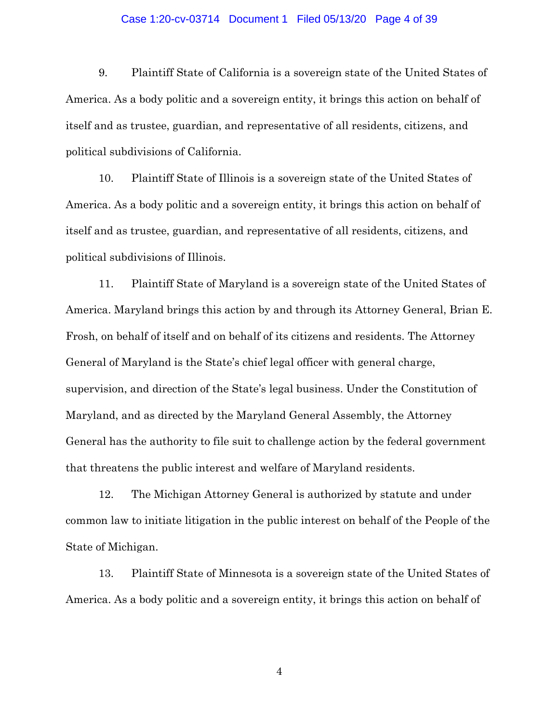## Case 1:20-cv-03714 Document 1 Filed 05/13/20 Page 4 of 39

9. Plaintiff State of California is a sovereign state of the United States of America. As a body politic and a sovereign entity, it brings this action on behalf of itself and as trustee, guardian, and representative of all residents, citizens, and political subdivisions of California.

10. Plaintiff State of Illinois is a sovereign state of the United States of America. As a body politic and a sovereign entity, it brings this action on behalf of itself and as trustee, guardian, and representative of all residents, citizens, and political subdivisions of Illinois.

11. Plaintiff State of Maryland is a sovereign state of the United States of America. Maryland brings this action by and through its Attorney General, Brian E. Frosh, on behalf of itself and on behalf of its citizens and residents. The Attorney General of Maryland is the State's chief legal officer with general charge, supervision, and direction of the State's legal business. Under the Constitution of Maryland, and as directed by the Maryland General Assembly, the Attorney General has the authority to file suit to challenge action by the federal government that threatens the public interest and welfare of Maryland residents.

12. The Michigan Attorney General is authorized by statute and under common law to initiate litigation in the public interest on behalf of the People of the State of Michigan.

13. Plaintiff State of Minnesota is a sovereign state of the United States of America. As a body politic and a sovereign entity, it brings this action on behalf of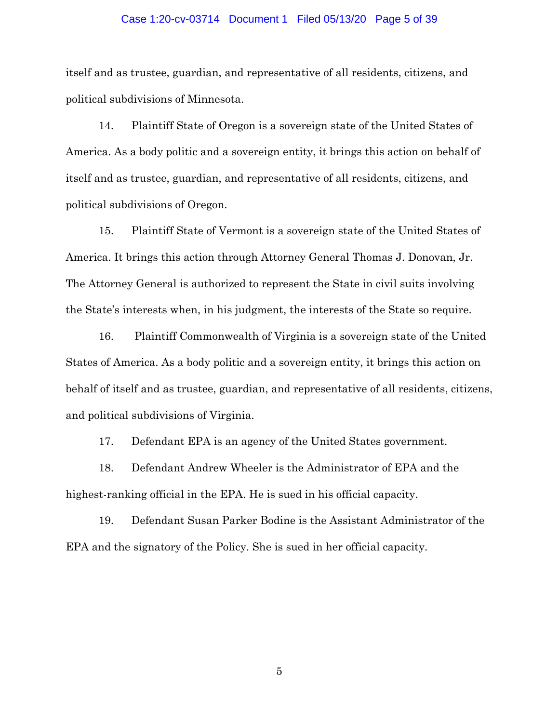## Case 1:20-cv-03714 Document 1 Filed 05/13/20 Page 5 of 39

itself and as trustee, guardian, and representative of all residents, citizens, and political subdivisions of Minnesota.

14. Plaintiff State of Oregon is a sovereign state of the United States of America. As a body politic and a sovereign entity, it brings this action on behalf of itself and as trustee, guardian, and representative of all residents, citizens, and political subdivisions of Oregon.

15. Plaintiff State of Vermont is a sovereign state of the United States of America. It brings this action through Attorney General Thomas J. Donovan, Jr. The Attorney General is authorized to represent the State in civil suits involving the State's interests when, in his judgment, the interests of the State so require.

16. Plaintiff Commonwealth of Virginia is a sovereign state of the United States of America. As a body politic and a sovereign entity, it brings this action on behalf of itself and as trustee, guardian, and representative of all residents, citizens, and political subdivisions of Virginia.

17. Defendant EPA is an agency of the United States government.

18. Defendant Andrew Wheeler is the Administrator of EPA and the highest-ranking official in the EPA. He is sued in his official capacity.

19. Defendant Susan Parker Bodine is the Assistant Administrator of the EPA and the signatory of the Policy. She is sued in her official capacity.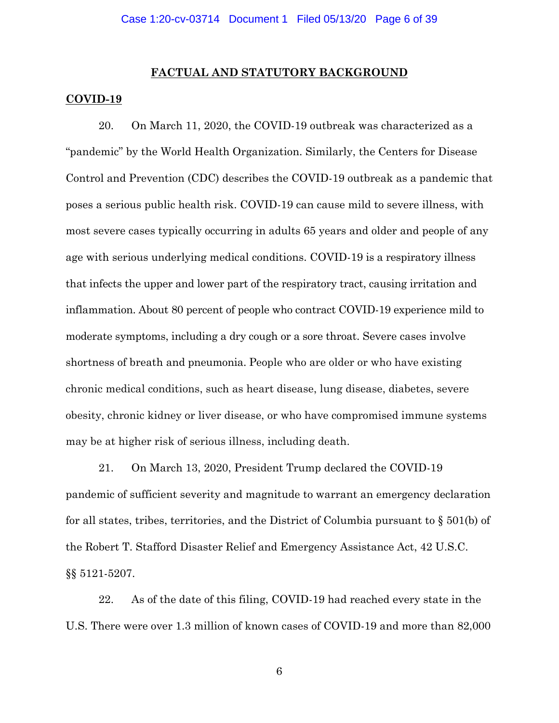#### **FACTUAL AND STATUTORY BACKGROUND**

## **COVID-19**

20. On March 11, 2020, the COVID-19 outbreak was characterized as a "pandemic" by the World Health Organization. Similarly, the Centers for Disease Control and Prevention (CDC) describes the COVID-19 outbreak as a pandemic that poses a serious public health risk. COVID-19 can cause mild to severe illness, with most severe cases typically occurring in adults 65 years and older and people of any age with serious underlying medical conditions. COVID-19 is a respiratory illness that infects the upper and lower part of the respiratory tract, causing irritation and inflammation. About 80 percent of people who contract COVID-19 experience [mild to](https://www.webmd.com/lung/covid-19-symptoms)  [moderate symptoms,](https://www.webmd.com/lung/covid-19-symptoms) including a dry [cough](https://www.webmd.com/cold-and-flu/overview) or a [sore throat.](https://www.webmd.com/cold-and-flu/understanding-sore-throat-basics) Severe cases involve shortness of breath and pneumonia. People who are older or who have existing chronic medical conditions, such as heart disease, lung disease, diabetes, severe obesity, chronic kidney or liver disease, or who have compromised immune systems may be at higher risk of serious illness, including death.

21. On March 13, 2020, President Trump declared the COVID-19 pandemic of sufficient severity and magnitude to warrant an emergency declaration for all states, tribes, territories, and the District of Columbia pursuant to  $\S 501(b)$  of the Robert T. Stafford Disaster Relief and Emergency Assistance Act, 42 U.S.C. §§ 5121-5207.

22. As of the date of this filing, COVID-19 had reached every state in the U.S. There were over 1.3 million of known cases of COVID-19 and more than 82,000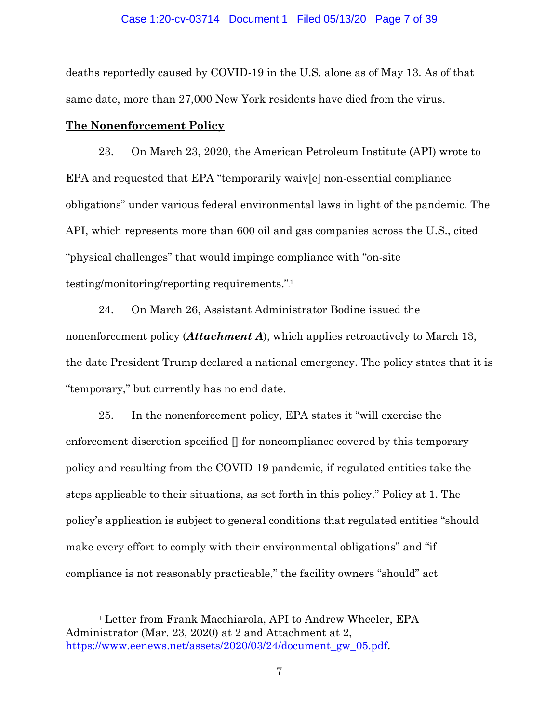#### Case 1:20-cv-03714 Document 1 Filed 05/13/20 Page 7 of 39

deaths reportedly caused by COVID-19 in the U.S. alone as of May 13. As of that same date, more than 27,000 New York residents have died from the virus.

## **The Nonenforcement Policy**

 $\overline{a}$ 

23. On March 23, 2020, the American Petroleum Institute (API) wrote to EPA and requested that EPA "temporarily waiv[e] non-essential compliance obligations" under various federal environmental laws in light of the pandemic. The API, which represents more than 600 oil and gas companies across the U.S., cited "physical challenges" that would impinge compliance with "on-site testing/monitoring/reporting requirements."<sup>1</sup>

24. On March 26, Assistant Administrator Bodine issued the nonenforcement policy (*Attachment A*), which applies retroactively to March 13, the date President Trump declared a national emergency. The policy states that it is "temporary," but currently has no end date.

25. In the nonenforcement policy, EPA states it "will exercise the enforcement discretion specified [] for noncompliance covered by this temporary policy and resulting from the COVID-19 pandemic, if regulated entities take the steps applicable to their situations, as set forth in this policy." Policy at 1. The policy's application is subject to general conditions that regulated entities "should make every effort to comply with their environmental obligations" and "if compliance is not reasonably practicable," the facility owners "should" act

<sup>1</sup> Letter from Frank Macchiarola, API to Andrew Wheeler, EPA Administrator (Mar. 23, 2020) at 2 and Attachment at 2, [https://www.eenews.net/assets/2020/03/24/document\\_gw\\_05.pdf.](https://www.eenews.net/assets/2020/03/24/document_gw_05.pdf)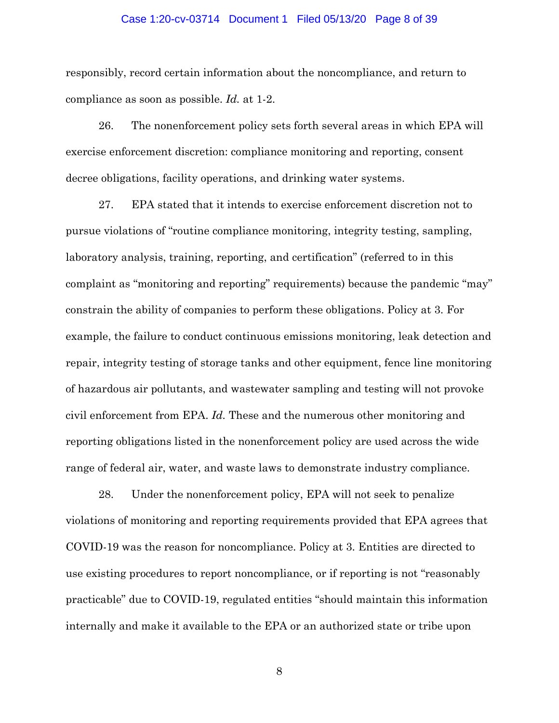## Case 1:20-cv-03714 Document 1 Filed 05/13/20 Page 8 of 39

responsibly, record certain information about the noncompliance, and return to compliance as soon as possible. *Id.* at 1-2.

26. The nonenforcement policy sets forth several areas in which EPA will exercise enforcement discretion: compliance monitoring and reporting, consent decree obligations, facility operations, and drinking water systems.

27. EPA stated that it intends to exercise enforcement discretion not to pursue violations of "routine compliance monitoring, integrity testing, sampling, laboratory analysis, training, reporting, and certification" (referred to in this complaint as "monitoring and reporting" requirements) because the pandemic "may" constrain the ability of companies to perform these obligations. Policy at 3. For example, the failure to conduct continuous emissions monitoring, leak detection and repair, integrity testing of storage tanks and other equipment, fence line monitoring of hazardous air pollutants, and wastewater sampling and testing will not provoke civil enforcement from EPA. *Id.* These and the numerous other monitoring and reporting obligations listed in the nonenforcement policy are used across the wide range of federal air, water, and waste laws to demonstrate industry compliance.

28. Under the nonenforcement policy, EPA will not seek to penalize violations of monitoring and reporting requirements provided that EPA agrees that COVID-19 was the reason for noncompliance. Policy at 3. Entities are directed to use existing procedures to report noncompliance, or if reporting is not "reasonably practicable" due to COVID-19, regulated entities "should maintain this information internally and make it available to the EPA or an authorized state or tribe upon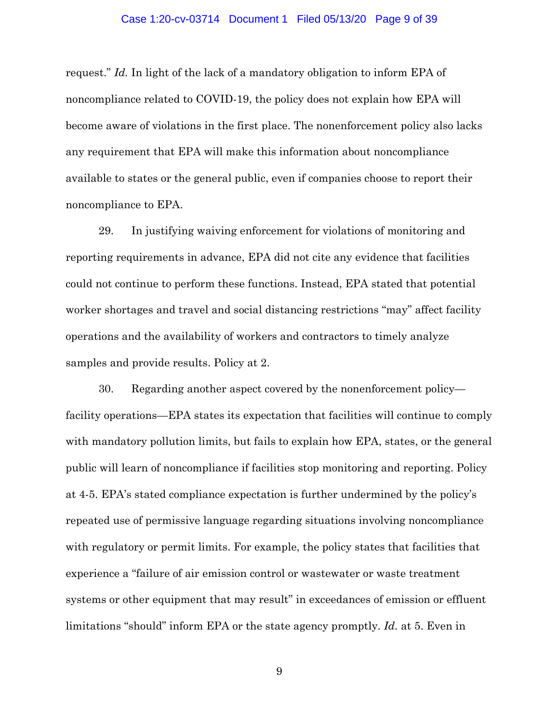#### Case 1:20-cv-03714 Document 1 Filed 05/13/20 Page 9 of 39

request." *Id.* In light of the lack of a mandatory obligation to inform EPA of noncompliance related to COVID-19, the policy does not explain how EPA will become aware of violations in the first place. The nonenforcement policy also lacks any requirement that EPA will make this information about noncompliance available to states or the general public, even if companies choose to report their noncompliance to EPA.

29. In justifying waiving enforcement for violations of monitoring and reporting requirements in advance, EPA did not cite any evidence that facilities could not continue to perform these functions. Instead, EPA stated that potential worker shortages and travel and social distancing restrictions "may" affect facility operations and the availability of workers and contractors to timely analyze samples and provide results. Policy at 2.

30. Regarding another aspect covered by the nonenforcement policy facility operations—EPA states its expectation that facilities will continue to comply with mandatory pollution limits, but fails to explain how EPA, states, or the general public will learn of noncompliance if facilities stop monitoring and reporting. Policy at 4-5. EPA's stated compliance expectation is further undermined by the policy's repeated use of permissive language regarding situations involving noncompliance with regulatory or permit limits. For example, the policy states that facilities that experience a "failure of air emission control or wastewater or waste treatment systems or other equipment that may result" in exceedances of emission or effluent limitations "should" inform EPA or the state agency promptly. *Id.* at 5. Even in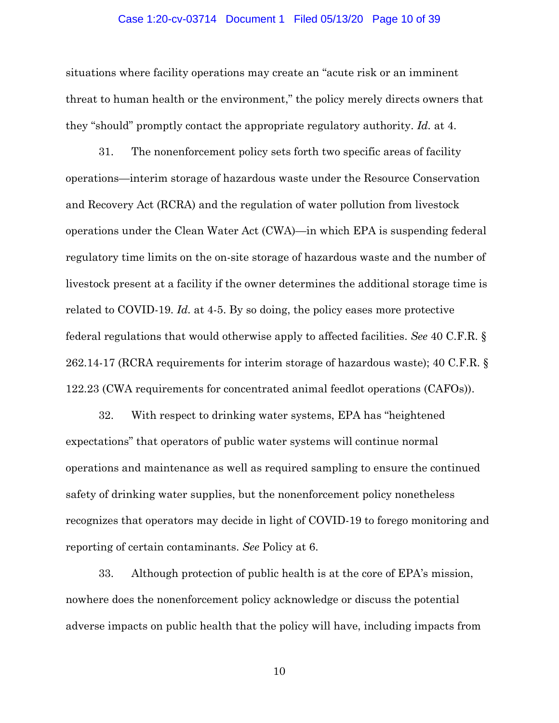#### Case 1:20-cv-03714 Document 1 Filed 05/13/20 Page 10 of 39

situations where facility operations may create an "acute risk or an imminent threat to human health or the environment," the policy merely directs owners that they "should" promptly contact the appropriate regulatory authority. *Id.* at 4.

31. The nonenforcement policy sets forth two specific areas of facility operations—interim storage of hazardous waste under the Resource Conservation and Recovery Act (RCRA) and the regulation of water pollution from livestock operations under the Clean Water Act (CWA)—in which EPA is suspending federal regulatory time limits on the on-site storage of hazardous waste and the number of livestock present at a facility if the owner determines the additional storage time is related to COVID-19. *Id.* at 4-5. By so doing, the policy eases more protective federal regulations that would otherwise apply to affected facilities. *See* 40 C.F.R. § 262.14-17 (RCRA requirements for interim storage of hazardous waste); 40 C.F.R. § 122.23 (CWA requirements for concentrated animal feedlot operations (CAFOs)).

32. With respect to drinking water systems, EPA has "heightened expectations" that operators of public water systems will continue normal operations and maintenance as well as required sampling to ensure the continued safety of drinking water supplies, but the nonenforcement policy nonetheless recognizes that operators may decide in light of COVID-19 to forego monitoring and reporting of certain contaminants. *See* Policy at 6.

33. Although protection of public health is at the core of EPA's mission, nowhere does the nonenforcement policy acknowledge or discuss the potential adverse impacts on public health that the policy will have, including impacts from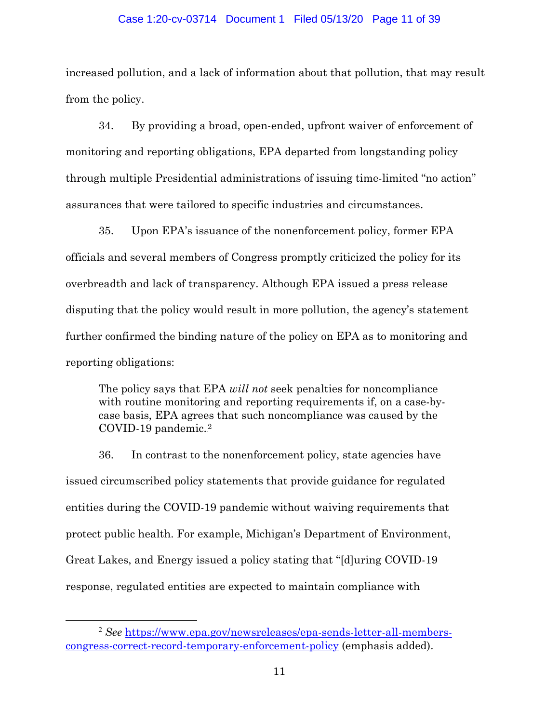## Case 1:20-cv-03714 Document 1 Filed 05/13/20 Page 11 of 39

increased pollution, and a lack of information about that pollution, that may result from the policy.

34. By providing a broad, open-ended, upfront waiver of enforcement of monitoring and reporting obligations, EPA departed from longstanding policy through multiple Presidential administrations of issuing time-limited "no action" assurances that were tailored to specific industries and circumstances.

35. Upon EPA's issuance of the nonenforcement policy, former EPA officials and several members of Congress promptly criticized the policy for its overbreadth and lack of transparency. Although EPA issued a press release disputing that the policy would result in more pollution, the agency's statement further confirmed the binding nature of the policy on EPA as to monitoring and reporting obligations:

The policy says that EPA *will not* seek penalties for noncompliance with routine monitoring and reporting requirements if, on a case-bycase basis, EPA agrees that such noncompliance was caused by the COVID-19 pandemic.<sup>2</sup>

36. In contrast to the nonenforcement policy, state agencies have issued circumscribed policy statements that provide guidance for regulated entities during the COVID-19 pandemic without waiving requirements that protect public health. For example, Michigan's Department of Environment, Great Lakes, and Energy issued a policy stating that "[d]uring COVID-19 response, regulated entities are expected to maintain compliance with

 <sup>2</sup> *See* [https://www.epa.gov/newsreleases/epa-sends-letter-all-members](https://www.epa.gov/newsreleases/epa-sends-letter-all-members-congress-correct-record-temporary-enforcement-policy)[congress-correct-record-temporary-enforcement-policy](https://www.epa.gov/newsreleases/epa-sends-letter-all-members-congress-correct-record-temporary-enforcement-policy) (emphasis added).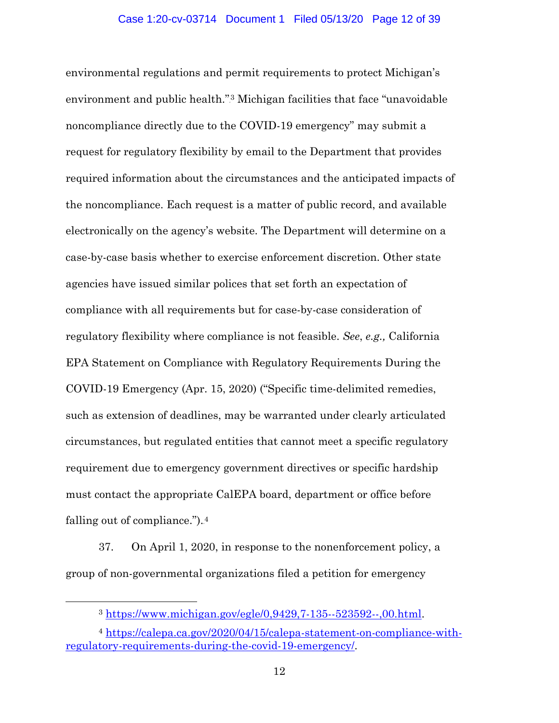environmental regulations and permit requirements to protect Michigan's environment and public health."<sup>3</sup> Michigan facilities that face "unavoidable noncompliance directly due to the COVID-19 emergency" may submit a request for regulatory flexibility by email to the Department that provides required information about the circumstances and the anticipated impacts of the noncompliance. Each request is a matter of public record, and available electronically on the agency's website. The Department will determine on a case-by-case basis whether to exercise enforcement discretion. Other state agencies have issued similar polices that set forth an expectation of compliance with all requirements but for case-by-case consideration of regulatory flexibility where compliance is not feasible. *See*, *e.g.,* California EPA Statement on Compliance with Regulatory Requirements During the COVID-19 Emergency (Apr. 15, 2020) ("Specific time-delimited remedies, such as extension of deadlines, may be warranted under clearly articulated circumstances, but regulated entities that cannot meet a specific regulatory requirement due to emergency government directives or specific hardship must contact the appropriate CalEPA board, department or office before falling out of compliance.").<sup>4</sup>

37. On April 1, 2020, in response to the nonenforcement policy, a group of non-governmental organizations filed a petition for emergency

 $\overline{a}$ 

<sup>3</sup> [https://www.michigan.gov/egle/0,9429,7-135--523592--,00.html.](https://www.michigan.gov/egle/0,9429,7-135--523592--,00.html)

<sup>4</sup> [https://calepa.ca.gov/2020/04/15/calepa-statement-on-compliance-with](https://calepa.ca.gov/2020/04/15/calepa-statement-on-compliance-with-regulatory-requirements-during-the-covid-19-emergency/)[regulatory-requirements-during-the-covid-19-emergency/.](https://calepa.ca.gov/2020/04/15/calepa-statement-on-compliance-with-regulatory-requirements-during-the-covid-19-emergency/)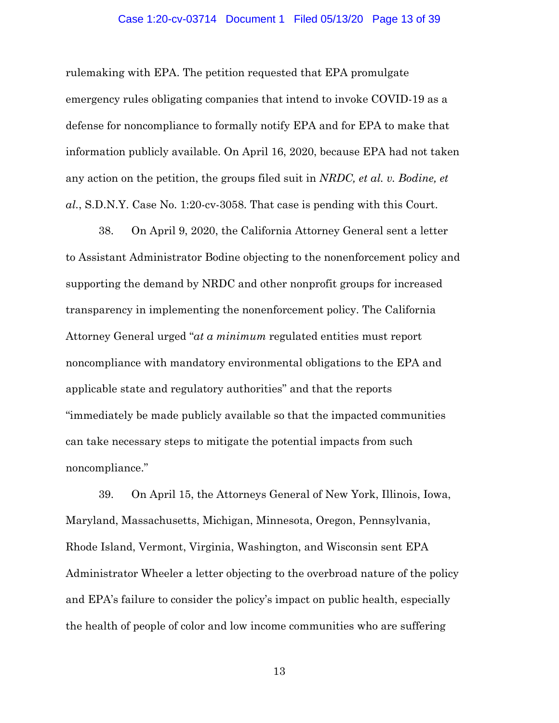### Case 1:20-cv-03714 Document 1 Filed 05/13/20 Page 13 of 39

rulemaking with EPA. The petition requested that EPA promulgate emergency rules obligating companies that intend to invoke COVID-19 as a defense for noncompliance to formally notify EPA and for EPA to make that information publicly available. On April 16, 2020, because EPA had not taken any action on the petition, the groups filed suit in *NRDC, et al. v. Bodine, et al.*, S.D.N.Y. Case No. 1:20-cv-3058. That case is pending with this Court.

38. On April 9, 2020, the California Attorney General sent a letter to Assistant Administrator Bodine objecting to the nonenforcement policy and supporting the demand by NRDC and other nonprofit groups for increased transparency in implementing the nonenforcement policy. The California Attorney General urged "*at a minimum* regulated entities must report noncompliance with mandatory environmental obligations to the EPA and applicable state and regulatory authorities" and that the reports "immediately be made publicly available so that the impacted communities can take necessary steps to mitigate the potential impacts from such noncompliance."

39. On April 15, the Attorneys General of New York, Illinois, Iowa, Maryland, Massachusetts, Michigan, Minnesota, Oregon, Pennsylvania, Rhode Island, Vermont, Virginia, Washington, and Wisconsin sent EPA Administrator Wheeler a letter objecting to the overbroad nature of the policy and EPA's failure to consider the policy's impact on public health, especially the health of people of color and low income communities who are suffering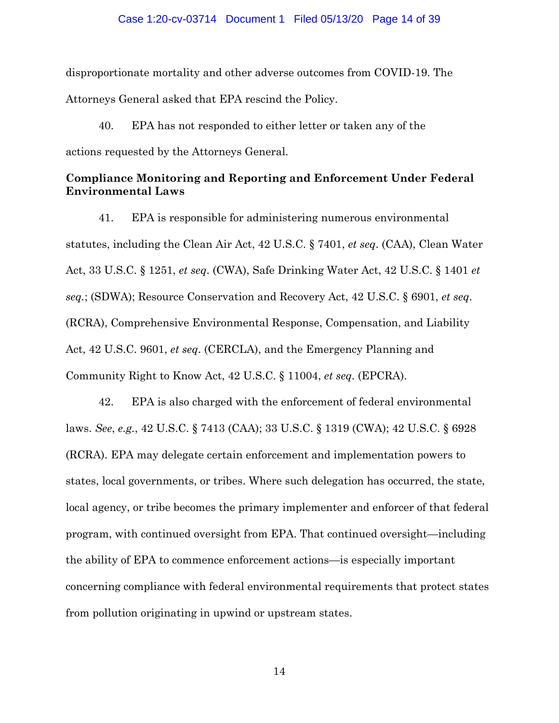disproportionate mortality and other adverse outcomes from COVID-19. The Attorneys General asked that EPA rescind the Policy.

40. EPA has not responded to either letter or taken any of the actions requested by the Attorneys General.

## **Compliance Monitoring and Reporting and Enforcement Under Federal Environmental Laws**

41. EPA is responsible for administering numerous environmental statutes, including the Clean Air Act, 42 U.S.C. § 7401, *et seq*. (CAA), Clean Water Act, 33 U.S.C. § 1251, *et seq*. (CWA), Safe Drinking Water Act, 42 U.S.C. § 1401 *et seq.*; (SDWA); Resource Conservation and Recovery Act, 42 U.S.C. § 6901, *et seq*. (RCRA), Comprehensive Environmental Response, Compensation, and Liability Act, 42 U.S.C. 9601, *et seq*. (CERCLA), and the Emergency Planning and Community Right to Know Act, 42 U.S.C. § 11004, *et seq*. (EPCRA).

42. EPA is also charged with the enforcement of federal environmental laws. *See*, *e.g.*, 42 U.S.C. § 7413 (CAA); 33 U.S.C. § 1319 (CWA); 42 U.S.C. § 6928 (RCRA). EPA may delegate certain enforcement and implementation powers to states, local governments, or tribes. Where such delegation has occurred, the state, local agency, or tribe becomes the primary implementer and enforcer of that federal program, with continued oversight from EPA. That continued oversight—including the ability of EPA to commence enforcement actions—is especially important concerning compliance with federal environmental requirements that protect states from pollution originating in upwind or upstream states.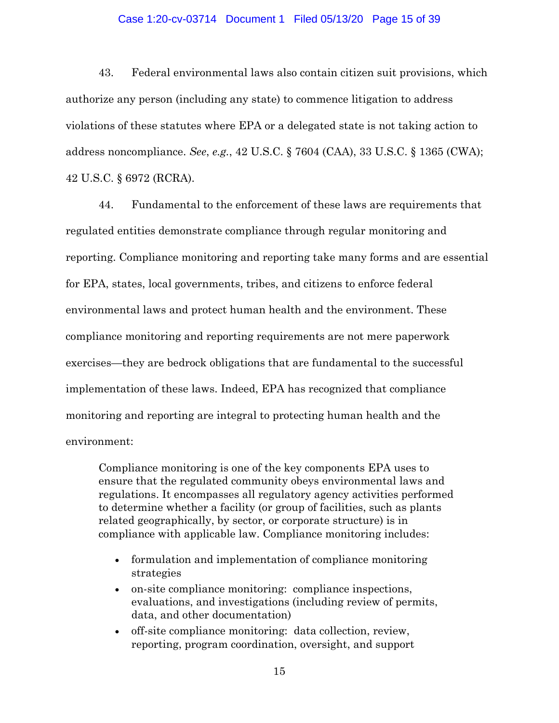## Case 1:20-cv-03714 Document 1 Filed 05/13/20 Page 15 of 39

43. Federal environmental laws also contain citizen suit provisions, which authorize any person (including any state) to commence litigation to address violations of these statutes where EPA or a delegated state is not taking action to address noncompliance. *See*, *e.g.*, 42 U.S.C. § 7604 (CAA), 33 U.S.C. § 1365 (CWA); 42 U.S.C. § 6972 (RCRA).

44. Fundamental to the enforcement of these laws are requirements that regulated entities demonstrate compliance through regular monitoring and reporting. Compliance monitoring and reporting take many forms and are essential for EPA, states, local governments, tribes, and citizens to enforce federal environmental laws and protect human health and the environment. These compliance monitoring and reporting requirements are not mere paperwork exercises—they are bedrock obligations that are fundamental to the successful implementation of these laws. Indeed, EPA has recognized that compliance monitoring and reporting are integral to protecting human health and the environment:

Compliance monitoring is one of the key components EPA uses to ensure that the regulated community obeys environmental laws and regulations. It encompasses all regulatory agency activities performed to determine whether a facility (or group of facilities, such as plants related geographically, by sector, or corporate structure) is in compliance with applicable law. Compliance monitoring includes:

- formulation and implementation of compliance monitoring strategies
- on-site compliance monitoring: compliance inspections, evaluations, and investigations (including review of permits, data, and other documentation)
- off-site compliance monitoring: data collection, review, reporting, program coordination, oversight, and support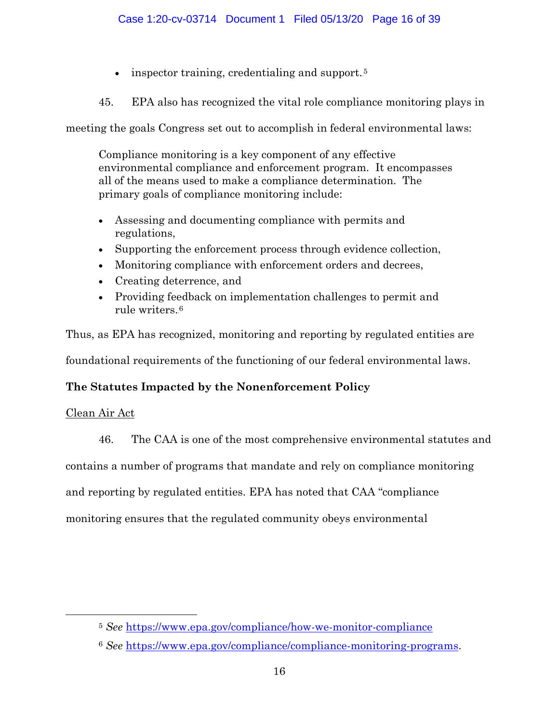- inspector training, credentialing and support.<sup>5</sup>
- 45. EPA also has recognized the vital role compliance monitoring plays in

meeting the goals Congress set out to accomplish in federal environmental laws:

Compliance monitoring is a key component of any effective environmental compliance and enforcement program. It encompasses all of the means used to make a compliance determination. The primary goals of compliance monitoring include:

- Assessing and documenting compliance with permits and regulations,
- Supporting the enforcement process through evidence collection,
- Monitoring compliance with enforcement orders and decrees,
- Creating deterrence, and
- Providing feedback on implementation challenges to permit and rule writers.**5F** 6

Thus, as EPA has recognized, monitoring and reporting by regulated entities are foundational requirements of the functioning of our federal environmental laws.

# **The Statutes Impacted by the Nonenforcement Policy**

# Clean Air Act

 $\overline{a}$ 

46. The CAA is one of the most comprehensive environmental statutes and

contains a number of programs that mandate and rely on compliance monitoring

and reporting by regulated entities. EPA has noted that CAA "compliance

monitoring ensures that the regulated community obeys environmental

<sup>5</sup> *See* <https://www.epa.gov/compliance/how-we-monitor-compliance>

<sup>6</sup> *See* [https://www.epa.gov/compliance/compliance-monitoring-programs.](https://www.epa.gov/compliance/compliance-monitoring-programs)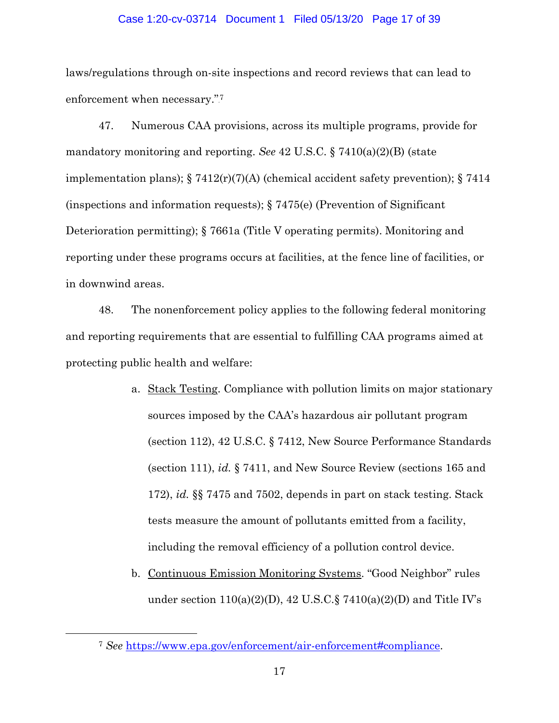## Case 1:20-cv-03714 Document 1 Filed 05/13/20 Page 17 of 39

laws/regulations through on-site inspections and record reviews that can lead to enforcement when necessary."<sup>7</sup>

47. Numerous CAA provisions, across its multiple programs, provide for mandatory monitoring and reporting. *See* 42 U.S.C. § 7410(a)(2)(B) (state implementation plans);  $\S 7412(r)(7)(A)$  (chemical accident safety prevention);  $\S 7414$ (inspections and information requests);  $\S 7475(e)$  (Prevention of Significant Deterioration permitting); § 7661a (Title V operating permits). Monitoring and reporting under these programs occurs at facilities, at the fence line of facilities, or in downwind areas.

48. The nonenforcement policy applies to the following federal monitoring and reporting requirements that are essential to fulfilling CAA programs aimed at protecting public health and welfare:

- a. Stack Testing. Compliance with pollution limits on major stationary sources imposed by the CAA's hazardous air pollutant program (section 112), 42 U.S.C. § 7412, New Source Performance Standards (section 111), *id.* § 7411, and New Source Review (sections 165 and 172), *id.* §§ 7475 and 7502, depends in part on stack testing. Stack tests measure the amount of pollutants emitted from a facility, including the removal efficiency of a pollution control device.
- b. Continuous Emission Monitoring Systems. "Good Neighbor" rules under section  $110(a)(2)(D)$ ,  $42$  U.S.C.  $\frac{5}{9}$  7410(a)(2)(D) and Title IV's

 $\overline{a}$ 

<sup>7</sup> *See* [https://www.epa.gov/enforcement/air-enforcement#compliance.](https://www.epa.gov/enforcement/air-enforcement#compliance)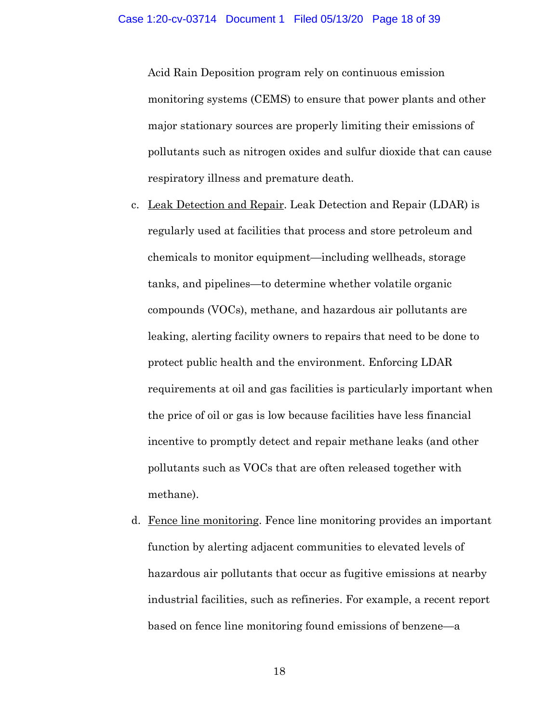Acid Rain Deposition program rely on continuous emission monitoring systems (CEMS) to ensure that power plants and other major stationary sources are properly limiting their emissions of pollutants such as nitrogen oxides and sulfur dioxide that can cause respiratory illness and premature death.

- c. Leak Detection and Repair. Leak Detection and Repair (LDAR) is regularly used at facilities that process and store petroleum and chemicals to monitor equipment—including wellheads, storage tanks, and pipelines—to determine whether volatile organic compounds (VOCs), methane, and hazardous air pollutants are leaking, alerting facility owners to repairs that need to be done to protect public health and the environment. Enforcing LDAR requirements at oil and gas facilities is particularly important when the price of oil or gas is low because facilities have less financial incentive to promptly detect and repair methane leaks (and other pollutants such as VOCs that are often released together with methane).
- d. Fence line monitoring. Fence line monitoring provides an important function by alerting adjacent communities to elevated levels of hazardous air pollutants that occur as fugitive emissions at nearby industrial facilities, such as refineries. For example, a recent report based on fence line monitoring found emissions of benzene—a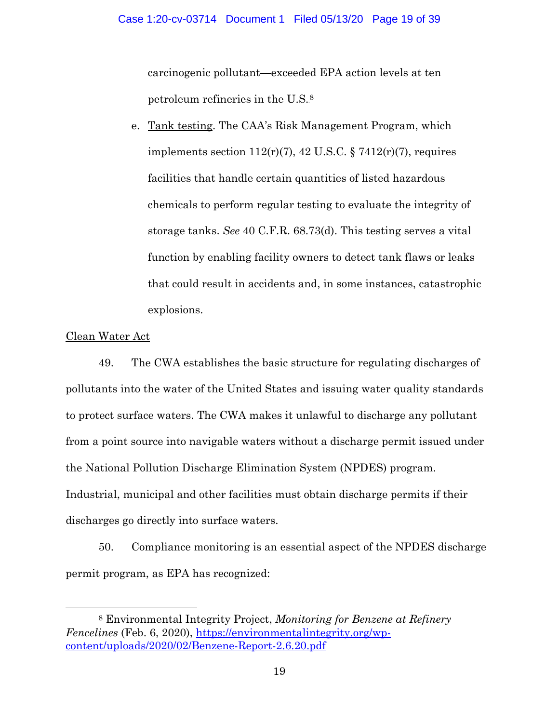carcinogenic pollutant—exceeded EPA action levels at ten petroleum refineries in the U.S.<sup>8</sup>

e. Tank testing. The CAA's Risk Management Program, which implements section  $112(r)(7)$ ,  $42$  U.S.C. §  $7412(r)(7)$ , requires facilities that handle certain quantities of listed hazardous chemicals to perform regular testing to evaluate the integrity of storage tanks. *See* 40 C.F.R. 68.73(d). This testing serves a vital function by enabling facility owners to detect tank flaws or leaks that could result in accidents and, in some instances, catastrophic explosions.

## Clean Water Act

 $\overline{a}$ 

49. The CWA establishes the basic structure for regulating discharges of pollutants into the water of the United States and issuing water quality standards to protect surface waters. The CWA makes it unlawful to discharge any pollutant from a point source into navigable waters without a discharge permit issued under the National Pollution Discharge Elimination System (NPDES) program. Industrial, municipal and other facilities must obtain discharge permits if their discharges go directly into surface waters.

50. Compliance monitoring is an essential aspect of the NPDES discharge permit program, as EPA has recognized:

<sup>8</sup> Environmental Integrity Project, *Monitoring for Benzene at Refinery Fencelines* (Feb. 6, 2020), [https://environmentalintegrity.org/wp](https://environmentalintegrity.org/wp-content/uploads/2020/02/Benzene-Report-2.6.20.pdf)[content/uploads/2020/02/Benzene-Report-2.6.20.pdf](https://environmentalintegrity.org/wp-content/uploads/2020/02/Benzene-Report-2.6.20.pdf)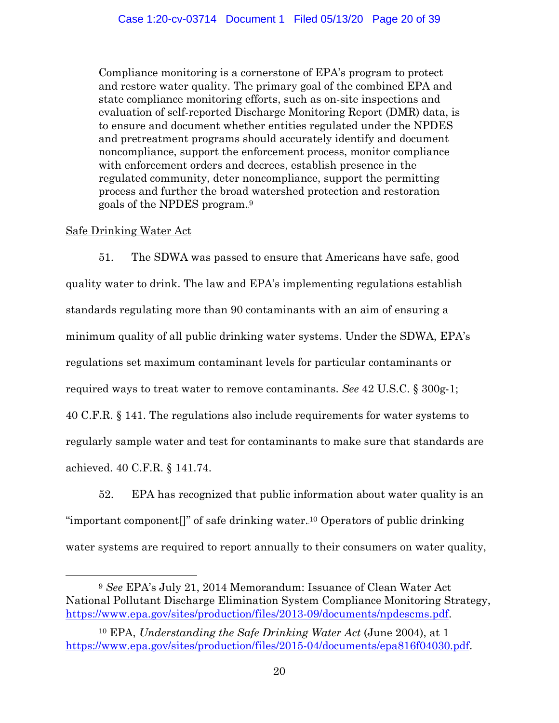Compliance monitoring is a cornerstone of EPA's program to protect and restore water quality. The primary goal of the combined EPA and state compliance monitoring efforts, such as on-site inspections and evaluation of self-reported Discharge Monitoring Report (DMR) data, is to ensure and document whether entities regulated under the NPDES and pretreatment programs should accurately identify and document noncompliance, support the enforcement process, monitor compliance with enforcement orders and decrees, establish presence in the regulated community, deter noncompliance, support the permitting process and further the broad watershed protection and restoration goals of the NPDES program.**8F** 9

## Safe Drinking Water Act

 $\overline{a}$ 

51. The SDWA was passed to ensure that Americans have safe, good quality water to drink. The law and EPA's implementing regulations establish standards regulating more than 90 contaminants with an aim of ensuring a minimum quality of all public drinking water systems. Under the SDWA, EPA's regulations set maximum contaminant levels for particular contaminants or required ways to treat water to remove contaminants. *See* 42 U.S.C. § 300g-1; 40 C.F.R. § 141. The regulations also include requirements for water systems to regularly sample water and test for contaminants to make sure that standards are achieved. 40 C.F.R. § 141.74.

52. EPA has recognized that public information about water quality is an "important component<sup>'</sup>" of safe drinking water.<sup>10</sup> Operators of public drinking water systems are required to report annually to their consumers on water quality,

<sup>9</sup> *See* EPA's July 21, 2014 Memorandum: Issuance of Clean Water Act National Pollutant Discharge Elimination System Compliance Monitoring Strategy, [https://www.epa.gov/sites/production/files/2013-09/documents/npdescms.pdf.](https://www.epa.gov/sites/production/files/2013-09/documents/npdescms.pdf)

<sup>10</sup> EPA, *Understanding the Safe Drinking Water Act* (June 2004), at 1 [https://www.epa.gov/sites/production/files/2015-04/documents/epa816f04030.pdf.](https://www.epa.gov/sites/production/files/2015-04/documents/epa816f04030.pdf)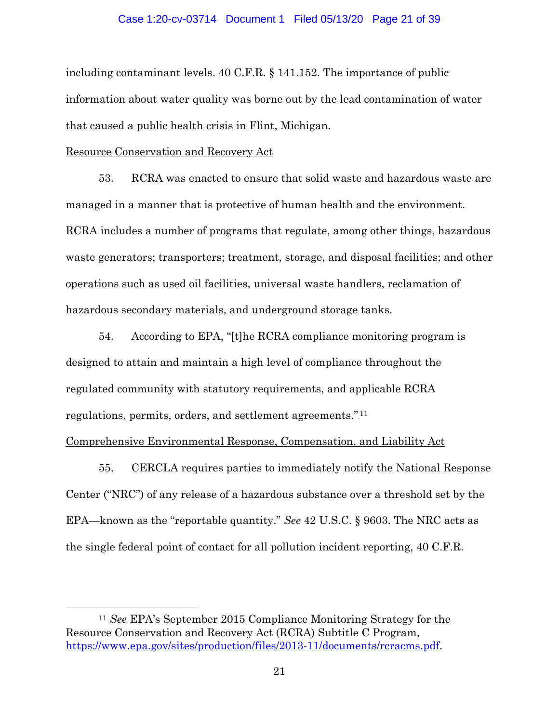## Case 1:20-cv-03714 Document 1 Filed 05/13/20 Page 21 of 39

including contaminant levels. 40 C.F.R. § 141.152. The importance of public information about water quality was borne out by the lead contamination of water that caused a public health crisis in Flint, Michigan.

## Resource Conservation and Recovery Act

 $\overline{a}$ 

53. RCRA was enacted to ensure that solid waste and hazardous waste are managed in a manner that is protective of human health and the environment. RCRA includes a number of programs that regulate, among other things, hazardous waste generators; transporters; treatment, storage, and disposal facilities; and other operations such as used oil facilities, universal waste handlers, reclamation of hazardous secondary materials, and underground storage tanks.

54. According to EPA, "[t]he RCRA compliance monitoring program is designed to attain and maintain a high level of compliance throughout the regulated community with statutory requirements, and applicable RCRA regulations, permits, orders, and settlement agreements.".<sup>11</sup>

## Comprehensive Environmental Response, Compensation, and Liability Act

55. CERCLA requires parties to immediately notify the National Response Center ("NRC") of any release of a hazardous substance over a threshold set by the EPA—known as the "reportable quantity." *See* 42 U.S.C. § 9603. The NRC acts as the single federal point of contact for all pollution incident reporting, 40 C.F.R.

<sup>11</sup> *See* EPA's September 2015 Compliance Monitoring Strategy for the Resource Conservation and Recovery Act (RCRA) Subtitle C Program, [https://www.epa.gov/sites/production/files/2013-11/documents/rcracms.pdf.](https://www.epa.gov/sites/production/files/2013-11/documents/rcracms.pdf)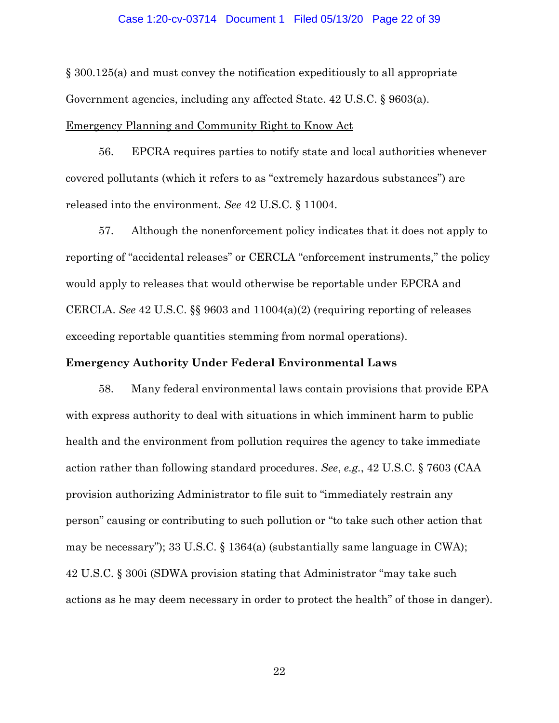#### Case 1:20-cv-03714 Document 1 Filed 05/13/20 Page 22 of 39

§ 300.125(a) and must convey the notification expeditiously to all appropriate Government agencies, including any affected State. 42 U.S.C. § 9603(a).

Emergency Planning and Community Right to Know Act

56. EPCRA requires parties to notify state and local authorities whenever covered pollutants (which it refers to as "extremely hazardous substances") are released into the environment. *See* 42 U.S.C. § 11004.

57. Although the nonenforcement policy indicates that it does not apply to reporting of "accidental releases" or CERCLA "enforcement instruments," the policy would apply to releases that would otherwise be reportable under EPCRA and CERCLA. *See* 42 U.S.C. §§ 9603 and 11004(a)(2) (requiring reporting of releases exceeding reportable quantities stemming from normal operations).

## **Emergency Authority Under Federal Environmental Laws**

58. Many federal environmental laws contain provisions that provide EPA with express authority to deal with situations in which imminent harm to public health and the environment from pollution requires the agency to take immediate action rather than following standard procedures. *See*, *e.g.*, 42 U.S.C. § 7603 (CAA provision authorizing Administrator to file suit to "immediately restrain any person" causing or contributing to such pollution or "to take such other action that may be necessary"); 33 U.S.C. § 1364(a) (substantially same language in CWA); 42 U.S.C. § 300i (SDWA provision stating that Administrator "may take such actions as he may deem necessary in order to protect the health" of those in danger).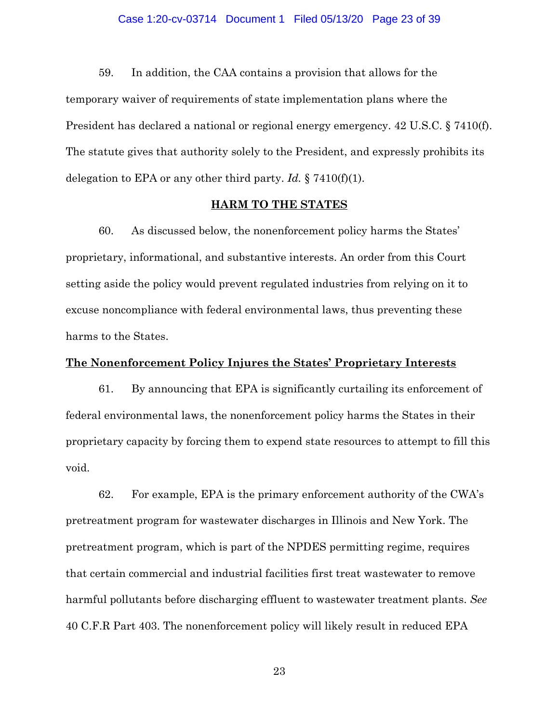## Case 1:20-cv-03714 Document 1 Filed 05/13/20 Page 23 of 39

59. In addition, the CAA contains a provision that allows for the temporary waiver of requirements of state implementation plans where the President has declared a national or regional energy emergency. 42 U.S.C. § 7410(f). The statute gives that authority solely to the President, and expressly prohibits its delegation to EPA or any other third party. *Id.* § 7410(f)(1).

## **HARM TO THE STATES**

60. As discussed below, the nonenforcement policy harms the States' proprietary, informational, and substantive interests. An order from this Court setting aside the policy would prevent regulated industries from relying on it to excuse noncompliance with federal environmental laws, thus preventing these harms to the States.

## **The Nonenforcement Policy Injures the States' Proprietary Interests**

61. By announcing that EPA is significantly curtailing its enforcement of federal environmental laws, the nonenforcement policy harms the States in their proprietary capacity by forcing them to expend state resources to attempt to fill this void.

62. For example, EPA is the primary enforcement authority of the CWA's pretreatment program for wastewater discharges in Illinois and New York. The pretreatment program, which is part of the NPDES permitting regime, requires that certain commercial and industrial facilities first treat wastewater to remove harmful pollutants before discharging effluent to wastewater treatment plants. *See* 40 C.F.R Part 403. The nonenforcement policy will likely result in reduced EPA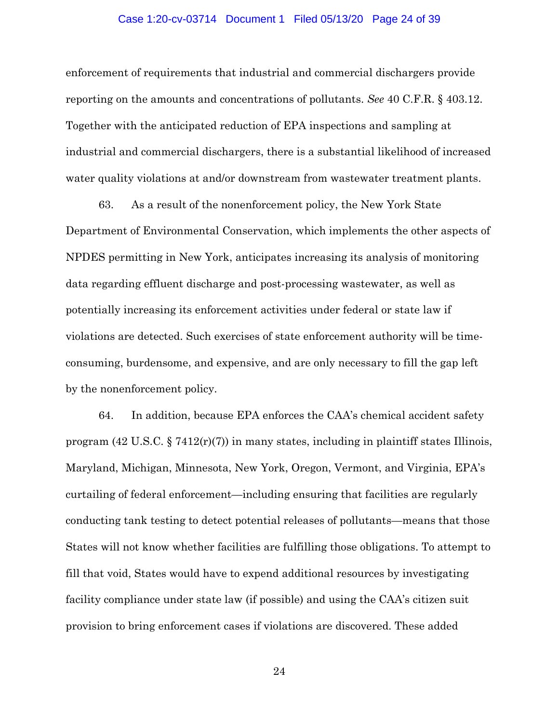#### Case 1:20-cv-03714 Document 1 Filed 05/13/20 Page 24 of 39

enforcement of requirements that industrial and commercial dischargers provide reporting on the amounts and concentrations of pollutants. *See* 40 C.F.R. § 403.12. Together with the anticipated reduction of EPA inspections and sampling at industrial and commercial dischargers, there is a substantial likelihood of increased water quality violations at and/or downstream from wastewater treatment plants.

63. As a result of the nonenforcement policy, the New York State Department of Environmental Conservation, which implements the other aspects of NPDES permitting in New York, anticipates increasing its analysis of monitoring data regarding effluent discharge and post-processing wastewater, as well as potentially increasing its enforcement activities under federal or state law if violations are detected. Such exercises of state enforcement authority will be timeconsuming, burdensome, and expensive, and are only necessary to fill the gap left by the nonenforcement policy.

64. In addition, because EPA enforces the CAA's chemical accident safety program  $(42 \text{ U.S.C.} \S 7412(r)(7))$  in many states, including in plaintiff states Illinois, Maryland, Michigan, Minnesota, New York, Oregon, Vermont, and Virginia, EPA's curtailing of federal enforcement—including ensuring that facilities are regularly conducting tank testing to detect potential releases of pollutants—means that those States will not know whether facilities are fulfilling those obligations. To attempt to fill that void, States would have to expend additional resources by investigating facility compliance under state law (if possible) and using the CAA's citizen suit provision to bring enforcement cases if violations are discovered. These added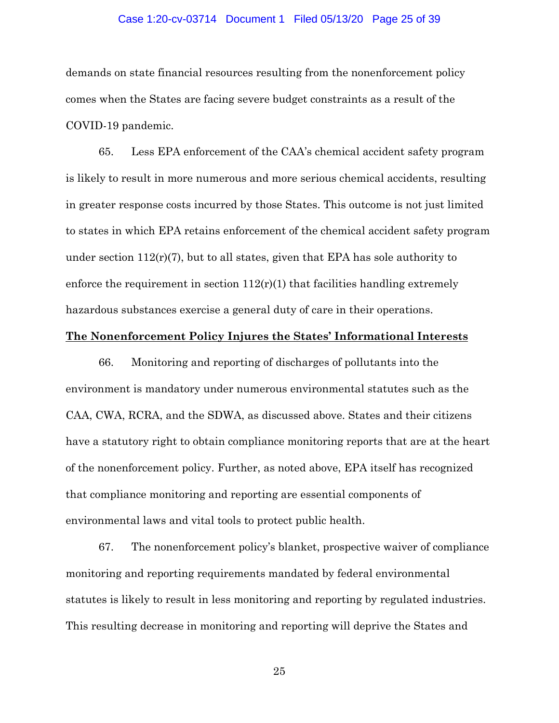## Case 1:20-cv-03714 Document 1 Filed 05/13/20 Page 25 of 39

demands on state financial resources resulting from the nonenforcement policy comes when the States are facing severe budget constraints as a result of the COVID-19 pandemic.

65. Less EPA enforcement of the CAA's chemical accident safety program is likely to result in more numerous and more serious chemical accidents, resulting in greater response costs incurred by those States. This outcome is not just limited to states in which EPA retains enforcement of the chemical accident safety program under section  $112(r)(7)$ , but to all states, given that EPA has sole authority to enforce the requirement in section  $112(r)(1)$  that facilities handling extremely hazardous substances exercise a general duty of care in their operations.

## **The Nonenforcement Policy Injures the States' Informational Interests**

66. Monitoring and reporting of discharges of pollutants into the environment is mandatory under numerous environmental statutes such as the CAA, CWA, RCRA, and the SDWA, as discussed above. States and their citizens have a statutory right to obtain compliance monitoring reports that are at the heart of the nonenforcement policy. Further, as noted above, EPA itself has recognized that compliance monitoring and reporting are essential components of environmental laws and vital tools to protect public health.

67. The nonenforcement policy's blanket, prospective waiver of compliance monitoring and reporting requirements mandated by federal environmental statutes is likely to result in less monitoring and reporting by regulated industries. This resulting decrease in monitoring and reporting will deprive the States and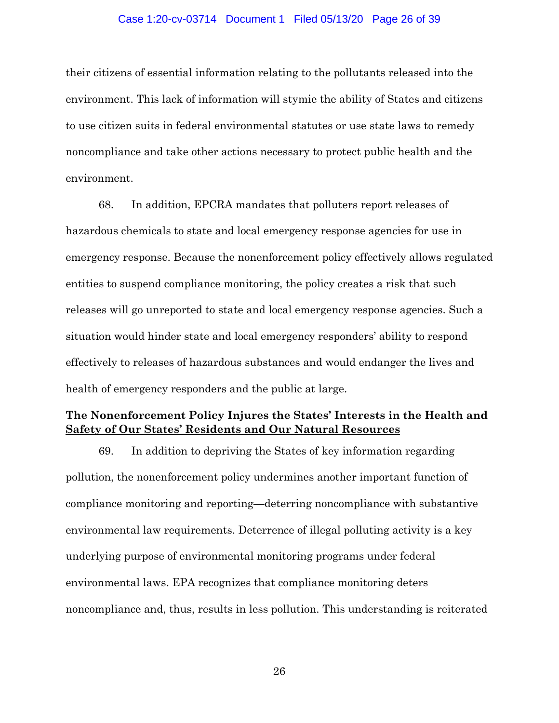### Case 1:20-cv-03714 Document 1 Filed 05/13/20 Page 26 of 39

their citizens of essential information relating to the pollutants released into the environment. This lack of information will stymie the ability of States and citizens to use citizen suits in federal environmental statutes or use state laws to remedy noncompliance and take other actions necessary to protect public health and the environment.

68. In addition, EPCRA mandates that polluters report releases of hazardous chemicals to state and local emergency response agencies for use in emergency response. Because the nonenforcement policy effectively allows regulated entities to suspend compliance monitoring, the policy creates a risk that such releases will go unreported to state and local emergency response agencies. Such a situation would hinder state and local emergency responders' ability to respond effectively to releases of hazardous substances and would endanger the lives and health of emergency responders and the public at large.

# **The Nonenforcement Policy Injures the States' Interests in the Health and Safety of Our States' Residents and Our Natural Resources**

69. In addition to depriving the States of key information regarding pollution, the nonenforcement policy undermines another important function of compliance monitoring and reporting—deterring noncompliance with substantive environmental law requirements. Deterrence of illegal polluting activity is a key underlying purpose of environmental monitoring programs under federal environmental laws. EPA recognizes that compliance monitoring deters noncompliance and, thus, results in less pollution. This understanding is reiterated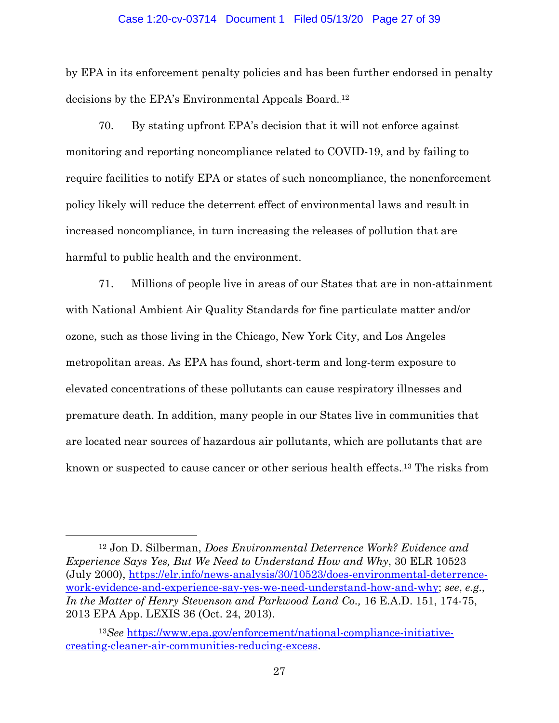#### Case 1:20-cv-03714 Document 1 Filed 05/13/20 Page 27 of 39

by EPA in its enforcement penalty policies and has been further endorsed in penalty decisions by the EPA's Environmental Appeals Board.<sup>12</sup>

70. By stating upfront EPA's decision that it will not enforce against monitoring and reporting noncompliance related to COVID-19, and by failing to require facilities to notify EPA or states of such noncompliance, the nonenforcement policy likely will reduce the deterrent effect of environmental laws and result in increased noncompliance, in turn increasing the releases of pollution that are harmful to public health and the environment.

71. Millions of people live in areas of our States that are in non-attainment with National Ambient Air Quality Standards for fine particulate matter and/or ozone, such as those living in the Chicago, New York City, and Los Angeles metropolitan areas. As EPA has found, short-term and long-term exposure to elevated concentrations of these pollutants can cause respiratory illnesses and premature death. In addition, many people in our States live in communities that are located near sources of hazardous air pollutants, which are pollutants that are known or suspected to cause cancer or other serious health effects.<sup>13</sup> The risks from

 $\overline{a}$ 

<sup>12</sup> Jon D. Silberman, *Does Environmental Deterrence Work? Evidence and Experience Says Yes, But We Need to Understand How and Why*, 30 ELR 10523 (July 2000), [https://elr.info/news-analysis/30/10523/does-environmental-deterrence](https://elr.info/news-analysis/30/10523/does-environmental-deterrence-work-evidence-and-experience-say-yes-we-need-understand-how-and-why)[work-evidence-and-experience-say-yes-we-need-understand-how-and-why;](https://elr.info/news-analysis/30/10523/does-environmental-deterrence-work-evidence-and-experience-say-yes-we-need-understand-how-and-why) *see*, *e.g., In the Matter of Henry Stevenson and Parkwood Land Co.,* 16 E.A.D. 151, 174-75, 2013 EPA App. LEXIS 36 (Oct. 24, 2013).

<sup>13</sup>*See* [https://www.epa.gov/enforcement/national-compliance-initiative](https://www.epa.gov/enforcement/national-compliance-initiative-creating-cleaner-air-communities-reducing-excess)[creating-cleaner-air-communities-reducing-excess.](https://www.epa.gov/enforcement/national-compliance-initiative-creating-cleaner-air-communities-reducing-excess)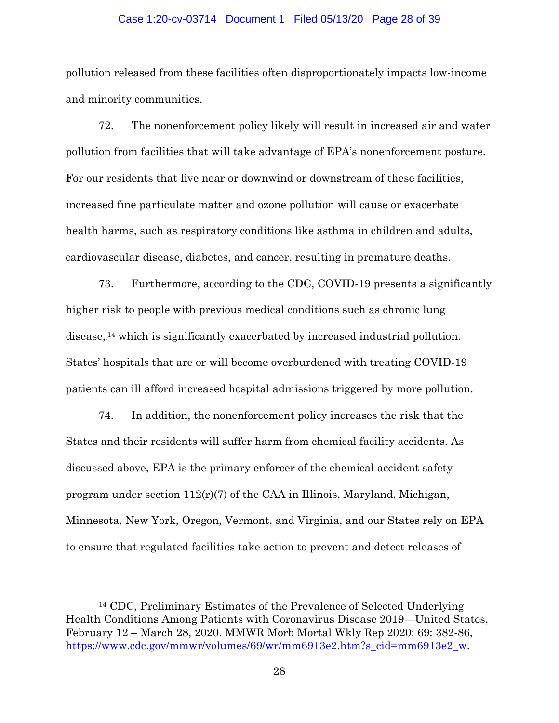#### Case 1:20-cv-03714 Document 1 Filed 05/13/20 Page 28 of 39

pollution released from these facilities often disproportionately impacts low-income and minority communities.

72. The nonenforcement policy likely will result in increased air and water pollution from facilities that will take advantage of EPA's nonenforcement posture. For our residents that live near or downwind or downstream of these facilities, increased fine particulate matter and ozone pollution will cause or exacerbate health harms, such as respiratory conditions like asthma in children and adults, cardiovascular disease, diabetes, and cancer, resulting in premature deaths.

73. Furthermore, according to the CDC, COVID-19 presents a significantly higher risk to people with previous medical conditions such as chronic lung disease,<sup>14</sup> which is significantly exacerbated by increased industrial pollution. States' hospitals that are or will become overburdened with treating COVID-19 patients can ill afford increased hospital admissions triggered by more pollution.

74. In addition, the nonenforcement policy increases the risk that the States and their residents will suffer harm from chemical facility accidents. As discussed above, EPA is the primary enforcer of the chemical accident safety program under section 112(r)(7) of the CAA in Illinois, Maryland, Michigan, Minnesota, New York, Oregon, Vermont, and Virginia, and our States rely on EPA to ensure that regulated facilities take action to prevent and detect releases of

 $\overline{a}$ 

<sup>14</sup> CDC, Preliminary Estimates of the Prevalence of Selected Underlying Health Conditions Among Patients with Coronavirus Disease 2019—United States, February 12 – March 28, 2020. MMWR Morb Mortal Wkly Rep 2020; 69: 382-86, [https://www.cdc.gov/mmwr/volumes/69/wr/mm6913e2.htm?s\\_cid=mm6913e2\\_w.](https://www.cdc.gov/mmwr/volumes/69/wr/mm6913e2.htm?s_cid=mm6913e2_w)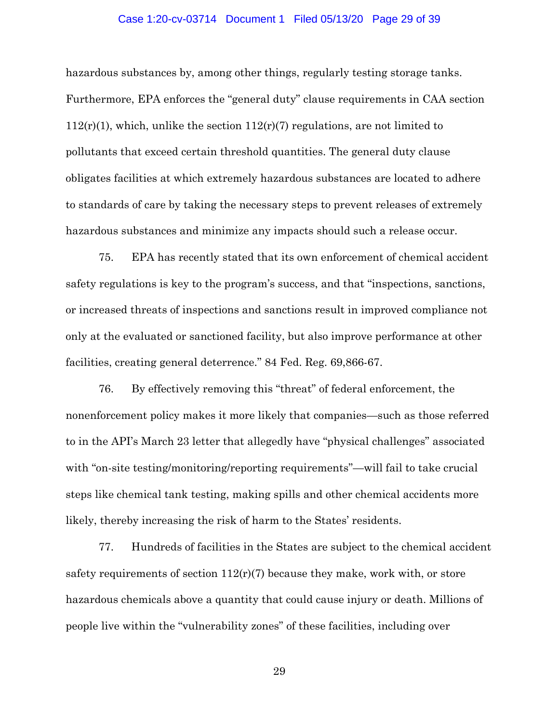#### Case 1:20-cv-03714 Document 1 Filed 05/13/20 Page 29 of 39

hazardous substances by, among other things, regularly testing storage tanks. Furthermore, EPA enforces the "general duty" clause requirements in CAA section  $112(r)(1)$ , which, unlike the section  $112(r)(7)$  regulations, are not limited to pollutants that exceed certain threshold quantities. The general duty clause obligates facilities at which extremely hazardous substances are located to adhere to standards of care by taking the necessary steps to prevent releases of extremely hazardous substances and minimize any impacts should such a release occur.

75. EPA has recently stated that its own enforcement of chemical accident safety regulations is key to the program's success, and that "inspections, sanctions, or increased threats of inspections and sanctions result in improved compliance not only at the evaluated or sanctioned facility, but also improve performance at other facilities, creating general deterrence." 84 Fed. Reg. 69,866-67.

76. By effectively removing this "threat" of federal enforcement, the nonenforcement policy makes it more likely that companies—such as those referred to in the API's March 23 letter that allegedly have "physical challenges" associated with "on-site testing/monitoring/reporting requirements"—will fail to take crucial steps like chemical tank testing, making spills and other chemical accidents more likely, thereby increasing the risk of harm to the States' residents.

77. Hundreds of facilities in the States are subject to the chemical accident safety requirements of section  $112(r)(7)$  because they make, work with, or store hazardous chemicals above a quantity that could cause injury or death. Millions of people live within the "vulnerability zones" of these facilities, including over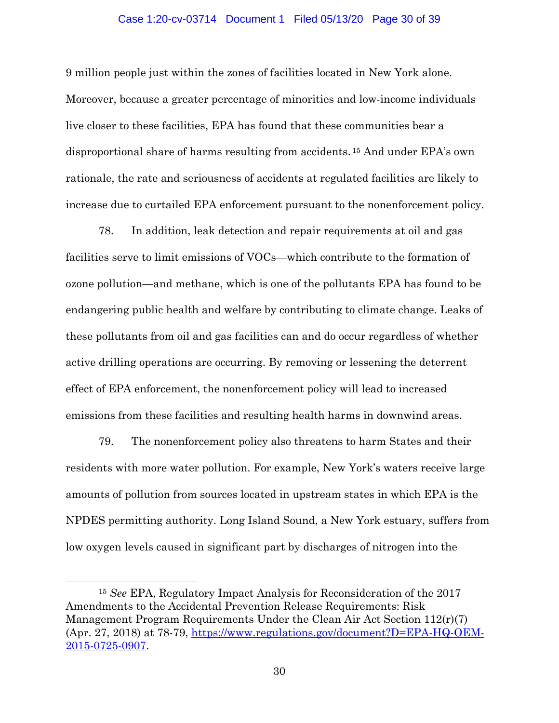#### Case 1:20-cv-03714 Document 1 Filed 05/13/20 Page 30 of 39

9 million people just within the zones of facilities located in New York alone. Moreover, because a greater percentage of minorities and low-income individuals live closer to these facilities, EPA has found that these communities bear a disproportional share of harms resulting from accidents.<sup>15</sup> And under EPA's own rationale, the rate and seriousness of accidents at regulated facilities are likely to increase due to curtailed EPA enforcement pursuant to the nonenforcement policy.

78. In addition, leak detection and repair requirements at oil and gas facilities serve to limit emissions of VOCs—which contribute to the formation of ozone pollution—and methane, which is one of the pollutants EPA has found to be endangering public health and welfare by contributing to climate change. Leaks of these pollutants from oil and gas facilities can and do occur regardless of whether active drilling operations are occurring. By removing or lessening the deterrent effect of EPA enforcement, the nonenforcement policy will lead to increased emissions from these facilities and resulting health harms in downwind areas.

79. The nonenforcement policy also threatens to harm States and their residents with more water pollution. For example, New York's waters receive large amounts of pollution from sources located in upstream states in which EPA is the NPDES permitting authority. Long Island Sound, a New York estuary, suffers from low oxygen levels caused in significant part by discharges of nitrogen into the

 $\overline{a}$ 

<sup>15</sup> *See* EPA, Regulatory Impact Analysis for Reconsideration of the 2017 Amendments to the Accidental Prevention Release Requirements: Risk Management Program Requirements Under the Clean Air Act Section 112(r)(7) (Apr. 27, 2018) at 78-79, [https://www.regulations.gov/document?D=EPA-HQ-OEM-](https://www.regulations.gov/document?D=EPA-HQ-OEM-2015-0725-0907)[2015-0725-0907.](https://www.regulations.gov/document?D=EPA-HQ-OEM-2015-0725-0907)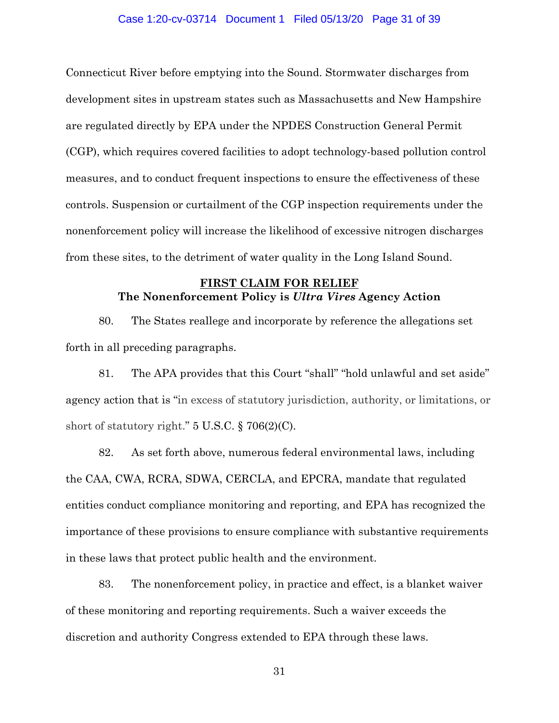### Case 1:20-cv-03714 Document 1 Filed 05/13/20 Page 31 of 39

Connecticut River before emptying into the Sound. Stormwater discharges from development sites in upstream states such as Massachusetts and New Hampshire are regulated directly by EPA under the NPDES Construction General Permit (CGP), which requires covered facilities to adopt technology-based pollution control measures, and to conduct frequent inspections to ensure the effectiveness of these controls. Suspension or curtailment of the CGP inspection requirements under the nonenforcement policy will increase the likelihood of excessive nitrogen discharges from these sites, to the detriment of water quality in the Long Island Sound.

## **FIRST CLAIM FOR RELIEF The Nonenforcement Policy is** *Ultra Vires* **Agency Action**

80. The States reallege and incorporate by reference the allegations set forth in all preceding paragraphs.

81. The APA provides that this Court "shall" "hold unlawful and set aside" agency action that is "in excess of statutory jurisdiction, authority, or limitations, or short of statutory right."  $5 \text{ U.S.C.}$  § 706(2)(C).

82. As set forth above, numerous federal environmental laws, including the CAA, CWA, RCRA, SDWA, CERCLA, and EPCRA, mandate that regulated entities conduct compliance monitoring and reporting, and EPA has recognized the importance of these provisions to ensure compliance with substantive requirements in these laws that protect public health and the environment.

83. The nonenforcement policy, in practice and effect, is a blanket waiver of these monitoring and reporting requirements. Such a waiver exceeds the discretion and authority Congress extended to EPA through these laws.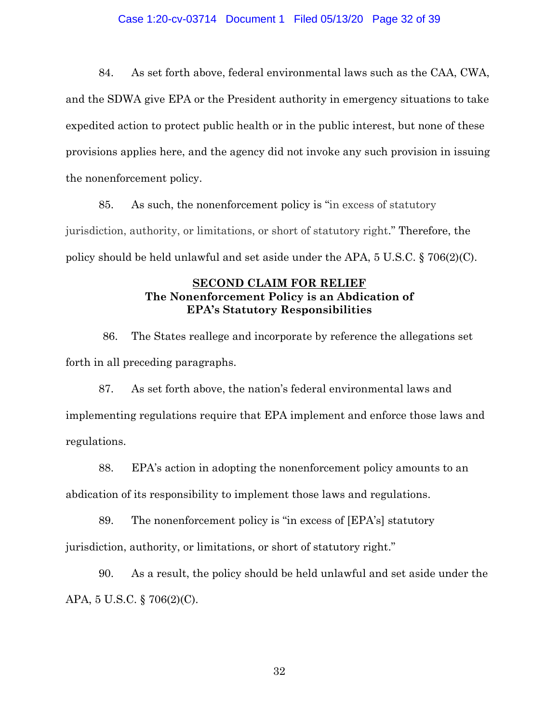## Case 1:20-cv-03714 Document 1 Filed 05/13/20 Page 32 of 39

84. As set forth above, federal environmental laws such as the CAA, CWA, and the SDWA give EPA or the President authority in emergency situations to take expedited action to protect public health or in the public interest, but none of these provisions applies here, and the agency did not invoke any such provision in issuing the nonenforcement policy.

85. As such, the nonenforcement policy is "in excess of statutory jurisdiction, authority, or limitations, or short of statutory right." Therefore, the policy should be held unlawful and set aside under the APA, 5 U.S.C. § 706(2)(C).

## **SECOND CLAIM FOR RELIEF The Nonenforcement Policy is an Abdication of EPA's Statutory Responsibilities**

86. The States reallege and incorporate by reference the allegations set forth in all preceding paragraphs.

87. As set forth above, the nation's federal environmental laws and implementing regulations require that EPA implement and enforce those laws and regulations.

88. EPA's action in adopting the nonenforcement policy amounts to an abdication of its responsibility to implement those laws and regulations.

89. The nonenforcement policy is "in excess of [EPA's] statutory jurisdiction, authority, or limitations, or short of statutory right."

90. As a result, the policy should be held unlawful and set aside under the APA, 5 U.S.C. § 706(2)(C).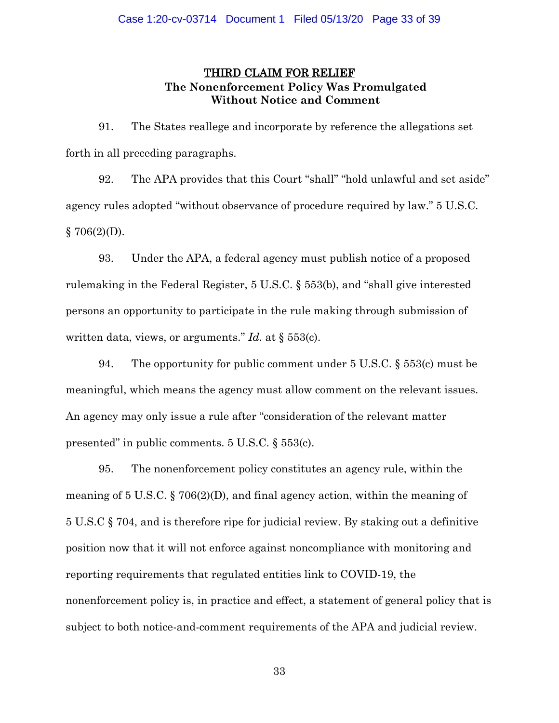# THIRD CLAIM FOR RELIEF **The Nonenforcement Policy Was Promulgated Without Notice and Comment**

91. The States reallege and incorporate by reference the allegations set forth in all preceding paragraphs.

92. The APA provides that this Court "shall" "hold unlawful and set aside" agency rules adopted "without observance of procedure required by law." 5 U.S.C.  $§ 706(2)(D).$ 

93. Under the APA, a federal agency must publish notice of a proposed rulemaking in the Federal Register, 5 U.S.C. § 553(b), and "shall give interested persons an opportunity to participate in the rule making through submission of written data, views, or arguments." *Id.* at § 553(c).

94. The opportunity for public comment under 5 U.S.C. § 553(c) must be meaningful, which means the agency must allow comment on the relevant issues. An agency may only issue a rule after "consideration of the relevant matter presented" in public comments. 5 U.S.C. § 553(c).

95. The nonenforcement policy constitutes an agency rule, within the meaning of 5 U.S.C. § 706(2)(D), and final agency action, within the meaning of 5 U.S.C § 704, and is therefore ripe for judicial review. By staking out a definitive position now that it will not enforce against noncompliance with monitoring and reporting requirements that regulated entities link to COVID-19, the nonenforcement policy is, in practice and effect, a statement of general policy that is subject to both notice-and-comment requirements of the APA and judicial review.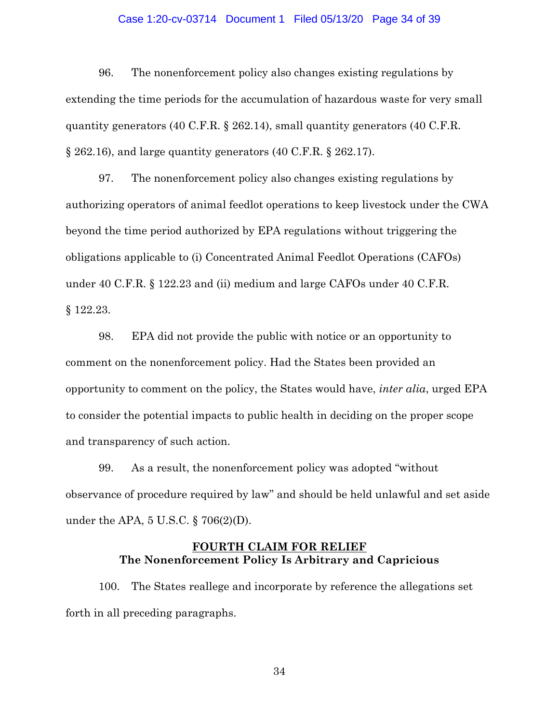## Case 1:20-cv-03714 Document 1 Filed 05/13/20 Page 34 of 39

96. The nonenforcement policy also changes existing regulations by extending the time periods for the accumulation of hazardous waste for very small quantity generators (40 C.F.R. § 262.14), small quantity generators (40 C.F.R. § 262.16), and large quantity generators (40 C.F.R. § 262.17).

97. The nonenforcement policy also changes existing regulations by authorizing operators of animal feedlot operations to keep livestock under the CWA beyond the time period authorized by EPA regulations without triggering the obligations applicable to (i) Concentrated Animal Feedlot Operations (CAFOs) under 40 C.F.R. § 122.23 and (ii) medium and large CAFOs under 40 C.F.R. § 122.23.

98. EPA did not provide the public with notice or an opportunity to comment on the nonenforcement policy. Had the States been provided an opportunity to comment on the policy, the States would have, *inter alia*, urged EPA to consider the potential impacts to public health in deciding on the proper scope and transparency of such action.

99. As a result, the nonenforcement policy was adopted "without observance of procedure required by law" and should be held unlawful and set aside under the APA, 5 U.S.C. § 706(2)(D).

## **FOURTH CLAIM FOR RELIEF The Nonenforcement Policy Is Arbitrary and Capricious**

100. The States reallege and incorporate by reference the allegations set forth in all preceding paragraphs.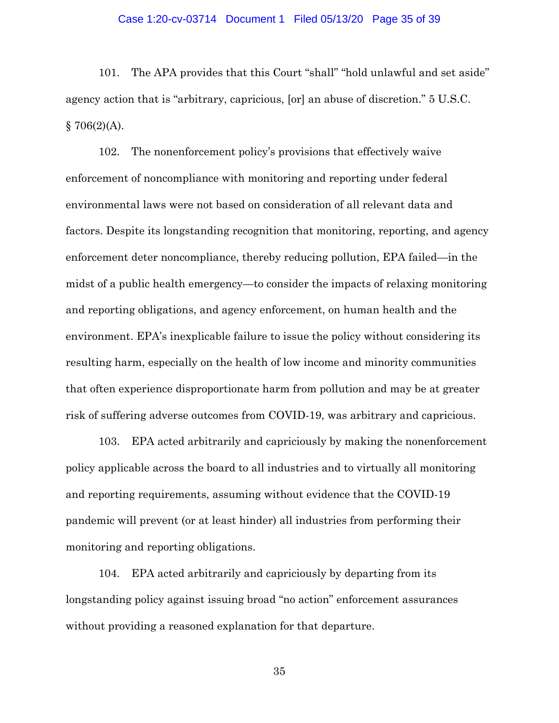### Case 1:20-cv-03714 Document 1 Filed 05/13/20 Page 35 of 39

101. The APA provides that this Court "shall" "hold unlawful and set aside" agency action that is "arbitrary, capricious, [or] an abuse of discretion." 5 U.S.C.  $$706(2)(A).$ 

102. The nonenforcement policy's provisions that effectively waive enforcement of noncompliance with monitoring and reporting under federal environmental laws were not based on consideration of all relevant data and factors. Despite its longstanding recognition that monitoring, reporting, and agency enforcement deter noncompliance, thereby reducing pollution, EPA failed—in the midst of a public health emergency—to consider the impacts of relaxing monitoring and reporting obligations, and agency enforcement, on human health and the environment. EPA's inexplicable failure to issue the policy without considering its resulting harm, especially on the health of low income and minority communities that often experience disproportionate harm from pollution and may be at greater risk of suffering adverse outcomes from COVID-19, was arbitrary and capricious.

103. EPA acted arbitrarily and capriciously by making the nonenforcement policy applicable across the board to all industries and to virtually all monitoring and reporting requirements, assuming without evidence that the COVID-19 pandemic will prevent (or at least hinder) all industries from performing their monitoring and reporting obligations.

104. EPA acted arbitrarily and capriciously by departing from its longstanding policy against issuing broad "no action" enforcement assurances without providing a reasoned explanation for that departure.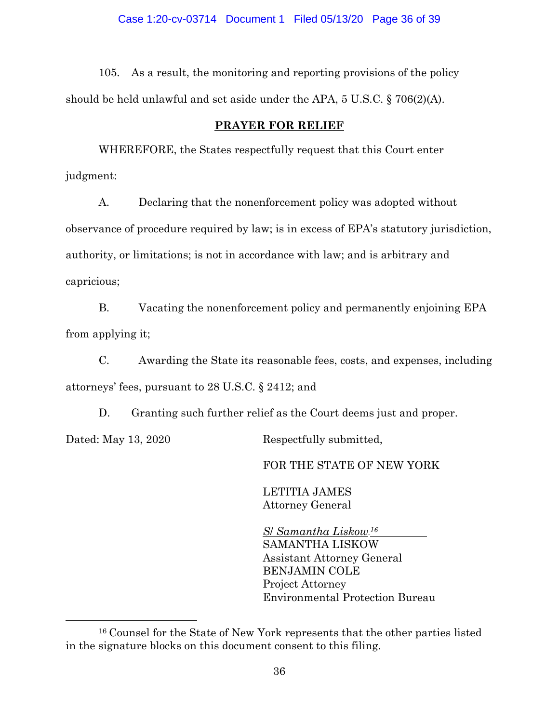105. As a result, the monitoring and reporting provisions of the policy should be held unlawful and set aside under the APA, 5 U.S.C. § 706(2)(A).

## **PRAYER FOR RELIEF**

WHEREFORE, the States respectfully request that this Court enter judgment:

A. Declaring that the nonenforcement policy was adopted without observance of procedure required by law; is in excess of EPA's statutory jurisdiction, authority, or limitations; is not in accordance with law; and is arbitrary and capricious;

B. Vacating the nonenforcement policy and permanently enjoining EPA from applying it;

C. Awarding the State its reasonable fees, costs, and expenses, including attorneys' fees, pursuant to 28 U.S.C. § 2412; and

D. Granting such further relief as the Court deems just and proper. Dated: May 13, 2020 Respectfully submitted,

FOR THE STATE OF NEW YORK

LETITIA JAMES Attorney General

*S*/ *Samantha Liskow***15F** *16*  SAMANTHA LISKOW Assistant Attorney General BENJAMIN COLE Project Attorney Environmental Protection Bureau

 $\overline{a}$ 

<sup>16</sup> Counsel for the State of New York represents that the other parties listed in the signature blocks on this document consent to this filing.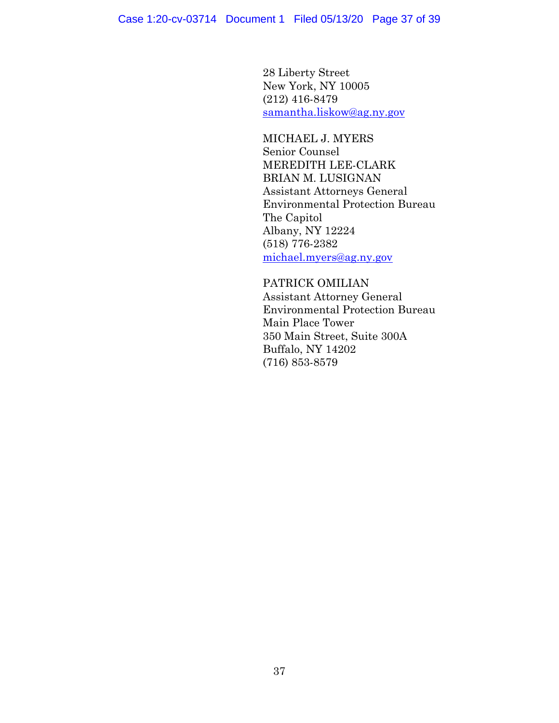28 Liberty Street New York, NY 10005 (212) 416-8479 [samantha.liskow@ag.ny.gov](mailto:samantha.liskow@ag.ny.gov) 

MICHAEL J. MYERS Senior Counsel MEREDITH LEE-CLARK BRIAN M. LUSIGNAN Assistant Attorneys General Environmental Protection Bureau The Capitol Albany, NY 12224 (518) 776-2382 [michael.myers@ag.ny.gov](mailto:michael.myers@ag.ny.gov) 

PATRICK OMILIAN Assistant Attorney General Environmental Protection Bureau Main Place Tower 350 Main Street, Suite 300A Buffalo, NY 14202 (716) 853-8579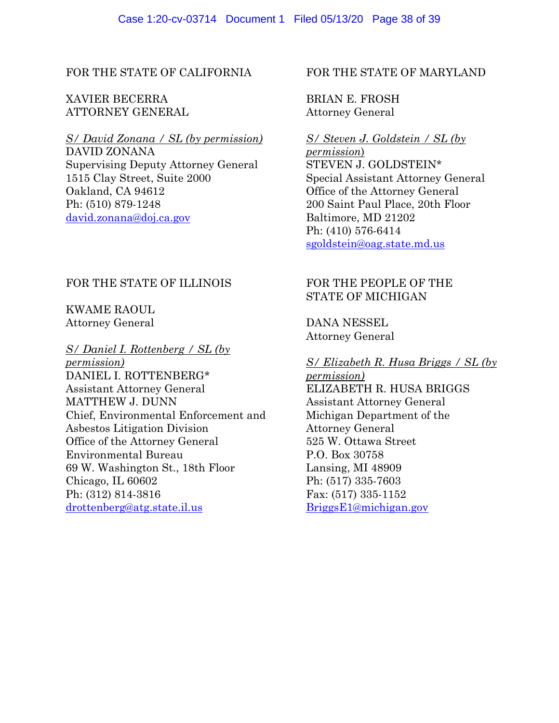## FOR THE STATE OF CALIFORNIA

# XAVIER BECERRA ATTORNEY GENERAL

# *S/ David Zonana / SL (by permission)*

DAVID ZONANA Supervising Deputy Attorney General 1515 Clay Street, Suite 2000 Oakland, CA 94612 Ph: (510) 879-1248 [david.zonana@doj.ca.gov](mailto:david.zonana@doj.ca.gov) 

# FOR THE STATE OF ILLINOIS

# KWAME RAOUL Attorney General

## *S/ Daniel I. Rottenberg / SL (by*

*permission)* DANIEL I. ROTTENBERG\* Assistant Attorney General MATTHEW J. DUNN Chief, Environmental Enforcement and Asbestos Litigation Division Office of the Attorney General Environmental Bureau 69 W. Washington St., 18th Floor Chicago, IL 60602 Ph: (312) 814-3816 [drottenberg@atg.state.il.us](mailto:drottenberg@atg.state.il.us) 

## FOR THE STATE OF MARYLAND

BRIAN E. FROSH Attorney General

# *S/ Steven J. Goldstein / SL (by*

*permission*) STEVEN J. GOLDSTEIN\* Special Assistant Attorney General Office of the Attorney General 200 Saint Paul Place, 20th Floor Baltimore, MD 21202 Ph: (410) 576-6414 [sgoldstein@oag.state.md.us](mailto:sgoldstein@oag.state.md.us) 

# FOR THE PEOPLE OF THE STATE OF MICHIGAN

DANA NESSEL Attorney General

## *S/ Elizabeth R. Husa Briggs / SL (by*

*permission)* ELIZABETH R. HUSA BRIGGS Assistant Attorney General Michigan Department of the Attorney General 525 W. Ottawa Street P.O. Box 30758 Lansing, MI 48909 Ph: (517) 335-7603 Fax: (517) 335-1152 [BriggsE1@michigan.gov](mailto:BriggsE1@michigan.gov)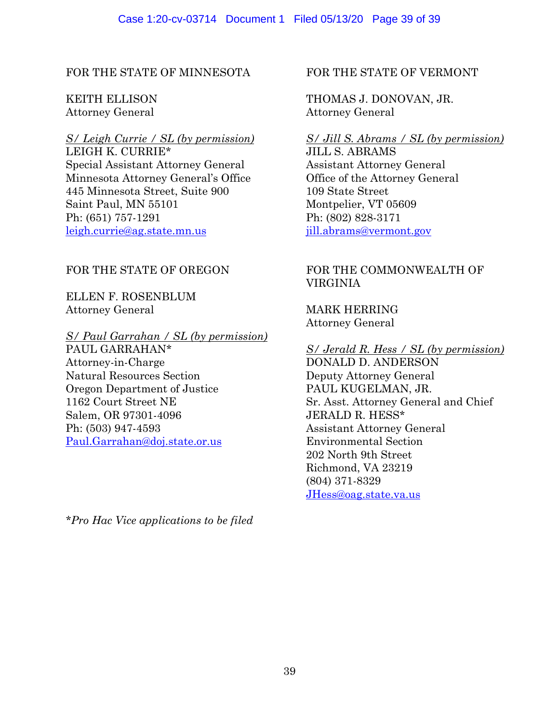# FOR THE STATE OF MINNESOTA

# KEITH ELLISON Attorney General

# *S/ Leigh Currie / SL (by permission)*

LEIGH K. CURRIE\* Special Assistant Attorney General Minnesota Attorney General's Office 445 Minnesota Street, Suite 900 Saint Paul, MN 55101 Ph: (651) 757-1291 [leigh.currie@ag.state.mn.us](mailto:leigh.currie@ag.state.mn.us)

# FOR THE STATE OF OREGON

ELLEN F. ROSENBLUM Attorney General

## *S/ Paul Garrahan / SL (by permission)*

PAUL GARRAHAN\* Attorney-in-Charge Natural Resources Section Oregon Department of Justice 1162 Court Street NE Salem, OR 97301-4096 Ph: (503) 947-4593 [Paul.Garrahan@doj.state.or.us](mailto:Paul.Garrahan@doj.state.or.us) 

*\*Pro Hac Vice applications to be filed*

# FOR THE STATE OF VERMONT

# THOMAS J. DONOVAN, JR. Attorney General

# *S/ Jill S. Abrams / SL (by permission)*

JILL S. ABRAMS Assistant Attorney General Office of the Attorney General 109 State Street Montpelier, VT 05609 Ph: (802) 828-3171 [jill.abrams@vermont.gov](mailto:jill.abrams@vermont.gov) 

# FOR THE COMMONWEALTH OF VIRGINIA

MARK HERRING Attorney General

*S/ Jerald R. Hess / SL (by permission)* DONALD D. ANDERSON Deputy Attorney General PAUL KUGELMAN, JR. Sr. Asst. Attorney General and Chief JERALD R. HESS\* Assistant Attorney General Environmental Section 202 North 9th Street Richmond, VA 23219 (804) 371-8329 [JHess@oag.state.va.us](mailto:JHess@oag.state.va.us)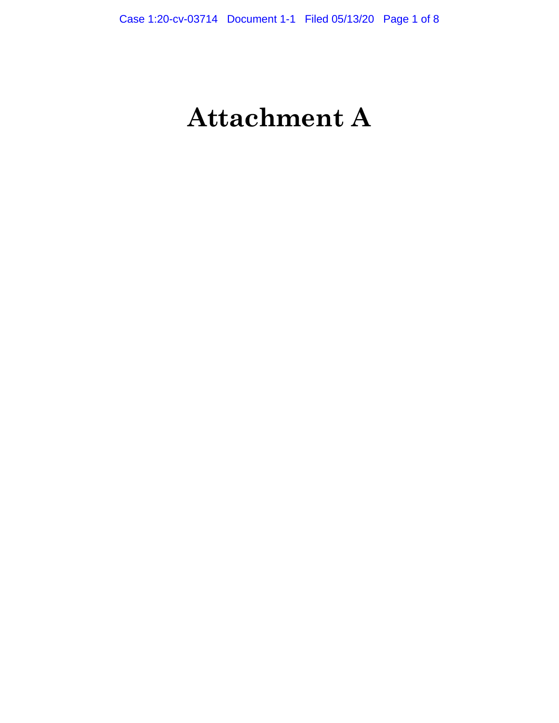# **Attachment A**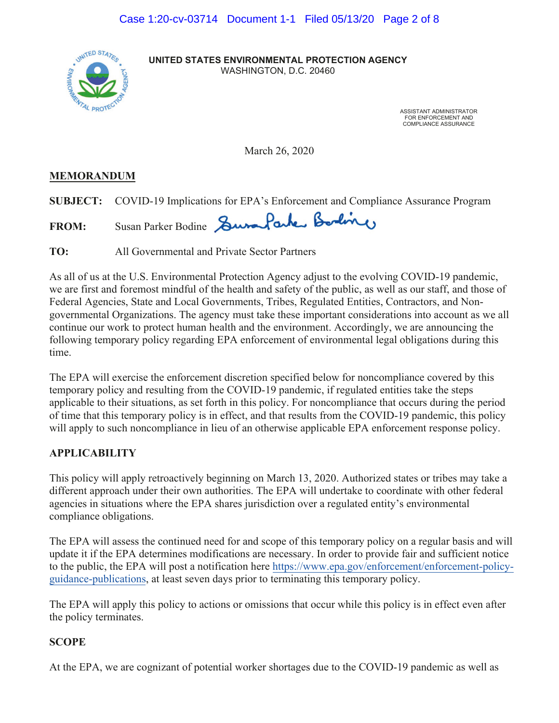

 WASHINGTON, D.C. 20460 **UNITED STATES ENVIRONMENTAL PROTECTION AGENCY**

> ASSISTANT ADMINISTRATOR FOR ENFORCEMENT AND COMPLIANCE ASSURANCE

March 26, 2020

# **MEMORANDUM**

**SUBJECT:** COVID-19 Implications for EPA's Enforcement and Compliance Assurance Program

FROM: Susan Parker Bodine Surra Parker Bording

**TO:** All Governmental and Private Sector Partners

As all of us at the U.S. Environmental Protection Agency adjust to the evolving COVID-19 pandemic, we are first and foremost mindful of the health and safety of the public, as well as our staff, and those of Federal Agencies, State and Local Governments, Tribes, Regulated Entities, Contractors, and Nongovernmental Organizations. The agency must take these important considerations into account as we all continue our work to protect human health and the environment. Accordingly, we are announcing the following temporary policy regarding EPA enforcement of environmental legal obligations during this time.

The EPA will exercise the enforcement discretion specified below for noncompliance covered by this temporary policy and resulting from the COVID-19 pandemic, if regulated entities take the steps applicable to their situations, as set forth in this policy. For noncompliance that occurs during the period of time that this temporary policy is in effect, and that results from the COVID-19 pandemic, this policy will apply to such noncompliance in lieu of an otherwise applicable EPA enforcement response policy.

# **APPLICABILITY**

This policy will apply retroactively beginning on March 13, 2020. Authorized states or tribes may take a different approach under their own authorities. The EPA will undertake to coordinate with other federal agencies in situations where the EPA shares jurisdiction over a regulated entity's environmental compliance obligations.

The EPA will assess the continued need for and scope of this temporary policy on a regular basis and will update it if the EPA determines modifications are necessary. In order to provide fair and sufficient notice to the public, the [EPA will post a notification here https://www.epa.gov/enforcement/enforcement-policy](https://www.epa.gov/enforcement/enforcement-policy-guidance-publications)guidance-publications, at least seven days prior to terminating this temporary policy.

 The EPA will apply this policy to actions or omissions that occur while this policy is in effect even after the policy terminates.

# **SCOPE**

At the EPA, we are cognizant of potential worker shortages due to the COVID-19 pandemic as well as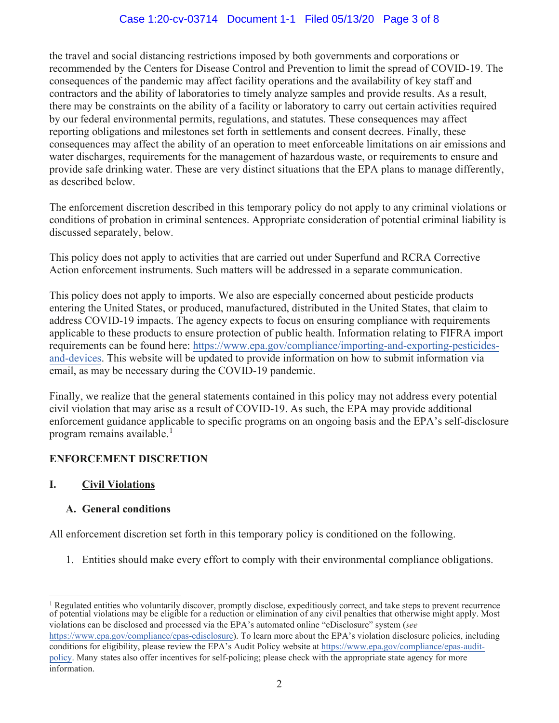# Case 1:20-cv-03714 Document 1-1 Filed 05/13/20 Page 3 of 8

the travel and social distancing restrictions imposed by both governments and corporations or recommended by the Centers for Disease Control and Prevention to limit the spread of COVID-19. The consequences of the pandemic may affect facility operations and the availability of key staff and contractors and the ability of laboratories to timely analyze samples and provide results. As a result, there may be constraints on the ability of a facility or laboratory to carry out certain activities required by our federal environmental permits, regulations, and statutes. These consequences may affect reporting obligations and milestones set forth in settlements and consent decrees. Finally, these consequences may affect the ability of an operation to meet enforceable limitations on air emissions and water discharges, requirements for the management of hazardous waste, or requirements to ensure and provide safe drinking water. These are very distinct situations that the EPA plans to manage differently, as described below.

The enforcement discretion described in this temporary policy do not apply to any criminal violations or conditions of probation in criminal sentences. Appropriate consideration of potential criminal liability is discussed separately, below.

This policy does not apply to activities that are carried out under Superfund and RCRA Corrective Action enforcement instruments. Such matters will be addressed in a separate communication.

This policy does not apply to imports. We also are especially concerned about pesticide products entering the United States, or produced, manufactured, distributed in the United States, that claim to address COVID-19 impacts. The agency expects to focus on ensuring compliance with requirements applicable to these products to ensure protection of public health. Information relating to FIFRA import [requirements can be found here: https://www.epa.gov/compliance/importing-and-exporting-pesticides](https://www.epa.gov/compliance/importing-and-exporting-pesticides-and-devices)and-devices. This website will be updated to provide information on how to submit information via email, as may be necessary during the COVID-19 pandemic.

program remains available.<sup>1</sup> Finally, we realize that the general statements contained in this policy may not address every potential civil violation that may arise as a result of COVID-19. As such, the EPA may provide additional enforcement guidance applicable to specific programs on an ongoing basis and the EPA's self-disclosure

# **ENFORCEMENT DISCRETION**

## **I. Civil Violations**

## **A. General conditions**

All enforcement discretion set forth in this temporary policy is conditioned on the following.

1. Entities should make every effort to comply with their environmental compliance obligations.

 of potential violations may be eligible for a reduction or elimination of any civil penalties that otherwise might apply. Most 1 Regulated entities who voluntarily discover, promptly disclose, expeditiously correct, and take steps to prevent recurrence violations can be disclosed and processed via the EPA's automated online "eDisclosure" system (*see*  <https://www.epa.gov/compliance/epas-edisclosure>). To learn more about the EPA's violation disclosure policies, including conditions for eligibility, please review the EPA's Audit Policy website at https://www.epa.gov/compliance/epas-auditpolicy. Many states also [offer incentives for self-policing; please check with the appropriate state agency for more](https://www.epa.gov/compliance/epas-audit-policy)  information.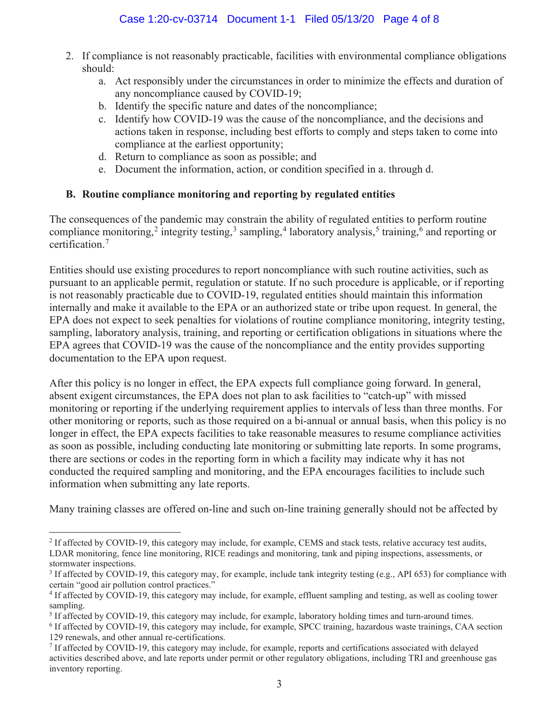- 2. If compliance is not reasonably practicable, facilities with environmental compliance obligations should:
	- a. Act responsibly under the circumstances in order to minimize the effects and duration of any noncompliance caused by COVID-19;
	- b. Identify the specific nature and dates of the noncompliance;
	- c. Identify how COVID-19 was the cause of the noncompliance, and the decisions and actions taken in response, including best efforts to comply and steps taken to come into compliance at the earliest opportunity;
	- d. Return to compliance as soon as possible; and
	- e. Document the information, action, or condition specified in a. through d.

# **B. Routine compliance monitoring and reporting by regulated entities**

 certification.<sup>7</sup> The consequences of the pandemic may constrain the ability of regulated entities to perform routine compliance monitoring,<sup>2</sup> integrity testing,<sup>3</sup> sampling,<sup>4</sup> laboratory analysis,<sup>5</sup> training,<sup>6</sup> and reporting or

Entities should use existing procedures to report noncompliance with such routine activities, such as pursuant to an applicable permit, regulation or statute. If no such procedure is applicable, or if reporting is not reasonably practicable due to COVID-19, regulated entities should maintain this information internally and make it available to the EPA or an authorized state or tribe upon request. In general, the EPA does not expect to seek penalties for violations of routine compliance monitoring, integrity testing, sampling, laboratory analysis, training, and reporting or certification obligations in situations where the EPA agrees that COVID-19 was the cause of the noncompliance and the entity provides supporting documentation to the EPA upon request.

After this policy is no longer in effect, the EPA expects full compliance going forward. In general, absent exigent circumstances, the EPA does not plan to ask facilities to "catch-up" with missed monitoring or reporting if the underlying requirement applies to intervals of less than three months. For other monitoring or reports, such as those required on a bi-annual or annual basis, when this policy is no longer in effect, the EPA expects facilities to take reasonable measures to resume compliance activities as soon as possible, including conducting late monitoring or submitting late reports. In some programs, there are sections or codes in the reporting form in which a facility may indicate why it has not conducted the required sampling and monitoring, and the EPA encourages facilities to include such information when submitting any late reports.

Many training classes are offered on-line and such on-line training generally should not be affected by

<sup>&</sup>lt;sup>2</sup> If affected by COVID-19, this category may include, for example, CEMS and stack tests, relative accuracy test audits, LDAR monitoring, fence line monitoring, RICE readings and monitoring, tank and piping inspections, assessments, or stormwater inspections.

<sup>&</sup>lt;sup>3</sup> If affected by COVID-19, this category may, for example, include tank integrity testing (e.g., API 653) for compliance with certain "good air pollution control practices."

<sup>&</sup>lt;sup>4</sup> If affected by COVID-19, this category may include, for example, effluent sampling and testing, as well as cooling tower sampling.

<sup>&</sup>lt;sup>5</sup> If affected by COVID-19, this category may include, for example, laboratory holding times and turn-around times.

<sup>6</sup> If affected by COVID-19, this category may include, for example, SPCC training, hazardous waste trainings, CAA section 129 renewals, and other annual re-certifications.

inventory reporting. <sup>7</sup> If affected by COVID-19, this category may include, for example, reports and certifications associated with delayed activities described above, and late reports under permit or other regulatory obligations, including TRI and greenhouse gas inventory reporting.  $\frac{3}{3}$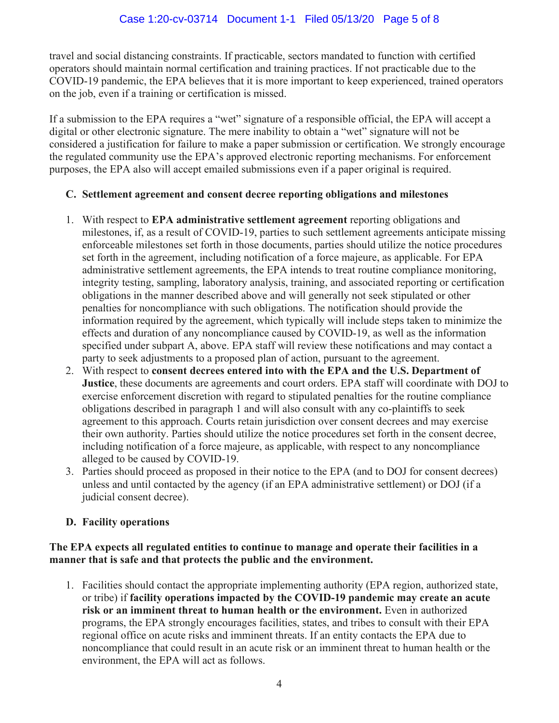travel and social distancing constraints. If practicable, sectors mandated to function with certified operators should maintain normal certification and training practices. If not practicable due to the COVID-19 pandemic, the EPA believes that it is more important to keep experienced, trained operators on the job, even if a training or certification is missed.

If a submission to the EPA requires a "wet" signature of a responsible official, the EPA will accept a digital or other electronic signature. The mere inability to obtain a "wet" signature will not be considered a justification for failure to make a paper submission or certification. We strongly encourage the regulated community use the EPA's approved electronic reporting mechanisms. For enforcement purposes, the EPA also will accept emailed submissions even if a paper original is required.

# **C. Settlement agreement and consent decree reporting obligations and milestones**

- 1. With respect to **EPA administrative settlement agreement** reporting obligations and milestones, if, as a result of COVID-19, parties to such settlement agreements anticipate missing enforceable milestones set forth in those documents, parties should utilize the notice procedures set forth in the agreement, including notification of a force majeure, as applicable. For EPA administrative settlement agreements, the EPA intends to treat routine compliance monitoring, integrity testing, sampling, laboratory analysis, training, and associated reporting or certification obligations in the manner described above and will generally not seek stipulated or other penalties for noncompliance with such obligations. The notification should provide the information required by the agreement, which typically will include steps taken to minimize the effects and duration of any noncompliance caused by COVID-19, as well as the information specified under subpart A, above. EPA staff will review these notifications and may contact a party to seek adjustments to a proposed plan of action, pursuant to the agreement.
- 2. With respect to **consent decrees entered into with the EPA and the U.S. Department of Justice**, these documents are agreements and court orders. EPA staff will coordinate with DOJ to exercise enforcement discretion with regard to stipulated penalties for the routine compliance obligations described in paragraph 1 and will also consult with any co-plaintiffs to seek agreement to this approach. Courts retain jurisdiction over consent decrees and may exercise their own authority. Parties should utilize the notice procedures set forth in the consent decree, including notification of a force majeure, as applicable, with respect to any noncompliance alleged to be caused by COVID-19.
- 3. Parties should proceed as proposed in their notice to the EPA (and to DOJ for consent decrees) unless and until contacted by the agency (if an EPA administrative settlement) or DOJ (if a judicial consent decree).

# **D. Facility operations**

# **manner that is safe and that protects the public and the environment. The EPA expects all regulated entities to continue to manage and operate their facilities in a**

1. Facilities should contact the appropriate implementing authority (EPA region, authorized state, or tribe) if **facility operations impacted by the COVID-19 pandemic may create an acute risk or an imminent threat to human health or the environment.** Even in authorized programs, the EPA strongly encourages facilities, states, and tribes to consult with their EPA regional office on acute risks and imminent threats. If an entity contacts the EPA due to noncompliance that could result in an acute risk or an imminent threat to human health or the environment, the EPA will act as follows.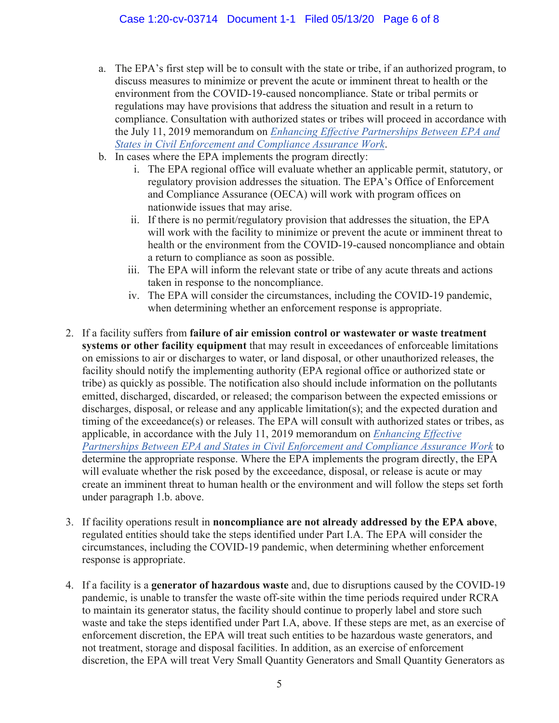- a. The EPA's first step will be to consult with the state or tribe, if an authorized program, to discuss measures to minimize or prevent the acute or imminent threat to health or the environment from the COVID-19-caused noncompliance. State or tribal permits or regulations may have provisions that address the situation and result in a return to compliance. Consultation with authorized states or tribes will proceed in accordance with the July 11, 2019 memorandum on *Enhancing Effective Partnerships Between EPA and [States in Civil Enforcement and Compliance Assurance Work](https://www.epa.gov/compliance/enhancing-effective-partnerships-between-epa-and-states-civil-enforcement-and-compliance)*.
- b. In cases where the EPA implements the program directly:
	- nationwide issues that may arise. i. The EPA regional office will evaluate whether an applicable permit, statutory, or regulatory provision addresses the situation. The EPA's Office of Enforcement and Compliance Assurance (OECA) will work with program offices on
	- ii. If there is no permit/regulatory provision that addresses the situation, the EPA will work with the facility to minimize or prevent the acute or imminent threat to health or the environment from the COVID-19-caused noncompliance and obtain a return to compliance as soon as possible.
	- iii. The EPA will inform the relevant state or tribe of any acute threats and actions taken in response to the noncompliance.
	- iv. The EPA will consider the circumstances, including the COVID-19 pandemic, when determining whether an enforcement response is appropriate.
- discharges, disposal, or release and any applicable limitation(s); and the expected duration and will evaluate whether the risk posed by the exceedance, disposal, or release is acute or may 2. If a facility suffers from **failure of air emission control or wastewater or waste treatment systems or other facility equipment** that may result in exceedances of enforceable limitations on emissions to air or discharges to water, or land disposal, or other unauthorized releases, the facility should notify the implementing authority (EPA regional office or authorized state or tribe) as quickly as possible. The notification also should include information on the pollutants emitted, discharged, discarded, or released; the comparison between the expected emissions or timing of the exceedance(s) or releases. The EPA will consult with authorized states or tribes, as applicable, in accordance with the July 11, 2019 memorandum on *Enhancing Effective [Partnerships Between EPA and States in Civil Enforcement and Compliance Assurance](https://www.epa.gov/compliance/enhancing-effective-partnerships-between-epa-and-states-civil-enforcement-and-compliance) Work* to determine the appropriate response. Where the EPA implements the program directly, the EPA create an imminent threat to human health or the environment and will follow the steps set forth under paragraph 1.b. above.
- 3. If facility operations result in **noncompliance are not already addressed by the EPA above**, regulated entities should take the steps identified under Part I.A. The EPA will consider the circumstances, including the COVID-19 pandemic, when determining whether enforcement response is appropriate.
- 4. If a facility is a **generator of hazardous waste** and, due to disruptions caused by the COVID-19 pandemic, is unable to transfer the waste off-site within the time periods required under RCRA to maintain its generator status, the facility should continue to properly label and store such waste and take the steps identified under Part I.A, above. If these steps are met, as an exercise of enforcement discretion, the EPA will treat such entities to be hazardous waste generators, and not treatment, storage and disposal facilities. In addition, as an exercise of enforcement discretion, the EPA will treat Very Small Quantity Generators and Small Quantity Generators as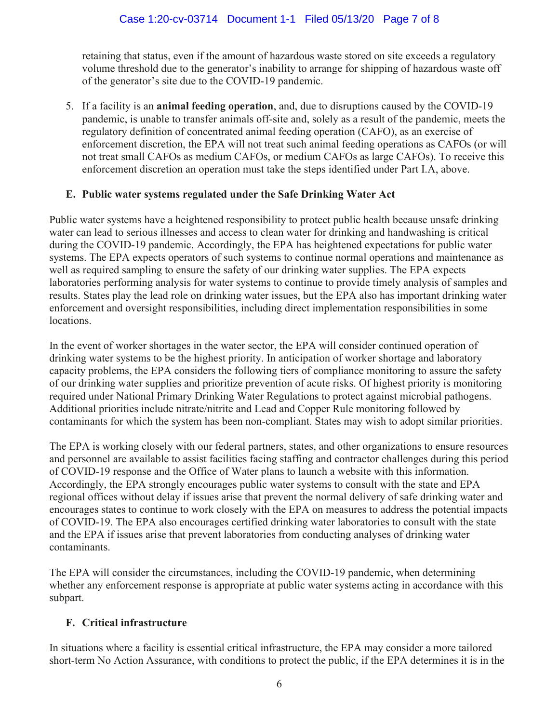retaining that status, even if the amount of hazardous waste stored on site exceeds a regulatory volume threshold due to the generator's inability to arrange for shipping of hazardous waste off of the generator's site due to the COVID-19 pandemic.

5. If a facility is an **animal feeding operation**, and, due to disruptions caused by the COVID-19 pandemic, is unable to transfer animals off-site and, solely as a result of the pandemic, meets the regulatory definition of concentrated animal feeding operation (CAFO), as an exercise of enforcement discretion, the EPA will not treat such animal feeding operations as CAFOs (or will not treat small CAFOs as medium CAFOs, or medium CAFOs as large CAFOs). To receive this enforcement discretion an operation must take the steps identified under Part I.A, above.

# **E. Public water systems regulated under the Safe Drinking Water Act**

Public water systems have a heightened responsibility to protect public health because unsafe drinking water can lead to serious illnesses and access to clean water for drinking and handwashing is critical during the COVID-19 pandemic. Accordingly, the EPA has heightened expectations for public water systems. The EPA expects operators of such systems to continue normal operations and maintenance as well as required sampling to ensure the safety of our drinking water supplies. The EPA expects laboratories performing analysis for water systems to continue to provide timely analysis of samples and results. States play the lead role on drinking water issues, but the EPA also has important drinking water enforcement and oversight responsibilities, including direct implementation responsibilities in some locations.

 In the event of worker shortages in the water sector, the EPA will consider continued operation of drinking water systems to be the highest priority. In anticipation of worker shortage and laboratory capacity problems, the EPA considers the following tiers of compliance monitoring to assure the safety of our drinking water supplies and prioritize prevention of acute risks. Of highest priority is monitoring required under National Primary Drinking Water Regulations to protect against microbial pathogens. Additional priorities include nitrate/nitrite and Lead and Copper Rule monitoring followed by contaminants for which the system has been non-compliant. States may wish to adopt similar priorities.

The EPA is working closely with our federal partners, states, and other organizations to ensure resources and personnel are available to assist facilities facing staffing and contractor challenges during this period of COVID-19 response and the Office of Water plans to launch a website with this information. Accordingly, the EPA strongly encourages public water systems to consult with the state and EPA regional offices without delay if issues arise that prevent the normal delivery of safe drinking water and encourages states to continue to work closely with the EPA on measures to address the potential impacts of COVID-19. The EPA also encourages certified drinking water laboratories to consult with the state and the EPA if issues arise that prevent laboratories from conducting analyses of drinking water contaminants.

The EPA will consider the circumstances, including the COVID-19 pandemic, when determining whether any enforcement response is appropriate at public water systems acting in accordance with this subpart.

# **F. Critical infrastructure**

In situations where a facility is essential critical infrastructure, the EPA may consider a more tailored short-term No Action Assurance, with conditions to protect the public, if the EPA determines it is in the